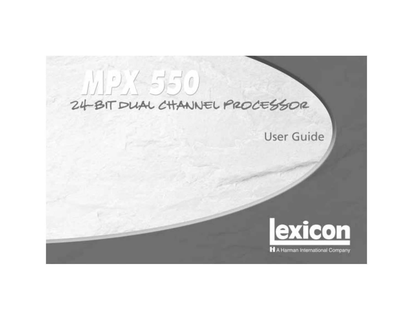# $1/2/550$ 24-BIT DUAL CHANNEL PROCESSOR

## **User Guide**

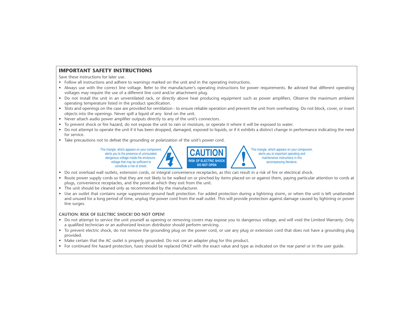#### **IMPORTANT SAFETY INSTRUCTIONS**

Save these instructions for later use.

- Follow all instructions and adhere to warnings marked on the unit and in the operating instructions.
- Always use with the correct line voltage. Refer to the manufacturer's operating instructions for power requirements. Be advised that different operating voltages may require the use of a different line cord and/or attachment plug.
- Do not install the unit in an unventilated rack, or directly above heat producing equipment such as power amplifiers. Observe the maximum ambient operating temperature listed in the product specification.
- Slots and openings on the case are provided for ventilation to ensure reliable operation and prevent the unit from overheating. Do not block, cover, or insert objects into the openings. Never spill a liquid of any kind on the unit.
- Never attach audio power amplifier outputs directly to any of the unit's connectors.
- To prevent shock or fire hazard, do not expose the unit to rain or moisture, or operate it where it will be exposed to water.
- Do not attempt to operate the unit if it has been dropped, damaged, exposed to liquids, or if it exhibits a distinct change in performance indicating the need for service.
- Take precautions not to defeat the grounding or polarization of the unit's power cord.



- Do not overload wall outlets, extension cords, or integral convenience receptacles, as this can result in a risk of fire or electrical shock.
- Route power supply cords so that they are not likely to be walked on or pinched by items placed on or against them, paying particular attention to cords at plugs, convenience receptacles, and the point at which they exit from the unit.
- The unit should be cleaned only as recommended by the manufacturer.
- Use an outlet that contains surge suppression ground fault protection. For added protection during a lightning storm, or when the unit is left unattended and unused for a long period of time, unplug the power cord from the wall outlet. This will provide protection against damage caused by lightning or power line surges.

#### **CAUTION: RISK OF ELECTRIC SHOCK! DO NOT OPEN!**

- Do not attempt to service the unit yourself as opening or removing covers may expose you to dangerous voltage, and will void the Limited Warranty. Only a qualified technician or an authorized lexicon distributor should perform servicing.
- To prevent electric shock, do not remove the grounding plug on the power cord, or use any plug or extension cord that does not have a grounding plug provided.
- Make certain that the AC outlet is properly grounded. Do not use an adapter plug for this product.
- For continued fire hazard protection, fuses should be replaced ONLY with the exact value and type as indicated on the rear panel or in the user guide.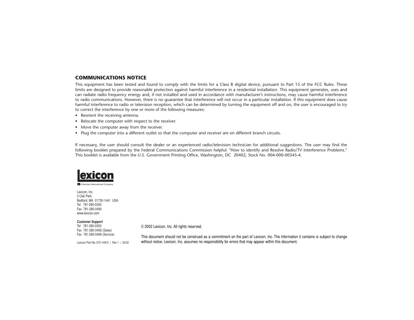#### **COMMUNICATIONS NOTICE**

This equipment has been tested and found to comply with the limits for a Class B digital device, pursuant to Part 15 of the FCC Rules. These limits are designed to provide reasonable protection against harmful interference in a residential installation. This equipment generates, uses and can radiate radio frequency energy and, if not installed and used in accordance with manufacturer's instructions, may cause harmful interference to radio communications. However, there is no guarantee that interference will not occur in a particular installation. If this equipment does cause harmful interference to radio or television reception, which can be determined by turning the equipment off and on, the user is encouraged to try to correct the interference by one or more of the following measures:

- Reorient the receiving antenna.
- Relocate the computer with respect to the receiver.
- Move the computer away from the receiver.
- Plug the computer into a different outlet so that the computer and receiver are on different branch circuits.

If necessary, the user should consult the dealer or an experienced radio/television technician for additional suggestions. The user may find the following booklet prepared by the Federal Communications Commission helpful: "How to identify and Resolve Radio/TV Interference Problems." This booklet is available from the U.S. Government Printing Office, Washington, DC 20402, Stock No. 004-000-00345-4.



**H** A Harman International Company

Lexicon, Inc. 3 Oak Park Bedford, MA 01730-1441 USA Tel 781-280-0300 Fax 781-280-0490 www.lexicon.com

#### **Customer Support**

Tel 781-280-0300 Fax 781-280-0495 (Sales) Fax 781-280-0499 (Service)

Lexicon Part No. 070-14912 | Rev 1 | 02/02

© 2002 Lexicon, Inc. All rights reserved.

This document should not be construed as a commitment on the part of Lexicon, Inc. The information it contains is subject to change without notice. Lexicon, Inc. assumes no responsibility for errors that may appear within this document.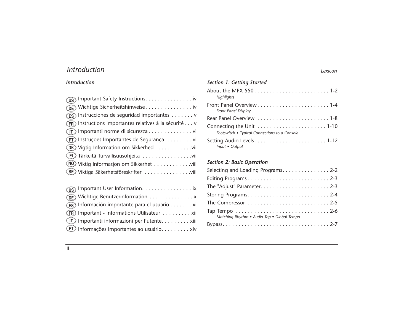| <b>Introduction</b> | Lexicon |
|---------------------|---------|
|---------------------|---------|

#### *Introduction*

| (US) Important Safety Instructions. iv                  |
|---------------------------------------------------------|
| <b>DE</b> Wichtige Sicherheitshinweise iv               |
| (ES) Instrucciones de seguridad importantes v           |
| (FR) Instructions importantes relatives à la sécurité v |
| (IT) Importanti norme di sicurezza vi                   |
| (PT) Instruções Importantes de Segurança vi             |
| <b>(DK)</b> Vigtig Information om Sikkerhed vii         |
| (FI) Tärkeitä Turvallisuusohjeita vii                   |
| (NO) Viktig Informasjon om Sikkerhet viii               |
| (SE) Viktiga Säkerhetsföreskrifter viii                 |
|                                                         |

| US Important User Information. ix               |
|-------------------------------------------------|
| <b>DE</b> Wichtige Benutzerinformation x        |
| (ES) Información importante para el usuario xi  |
| (FR) Important - Informations Utilisateur xii   |
| (IT) Importanti informazioni per l'utente. xiii |
| (PT) Informações Importantes ao usuário. xiv    |

| <b>Section 1: Getting Started</b>             |
|-----------------------------------------------|
| About the MPX 5501-2<br><b>Highlights</b>     |
| Front Panel Display                           |
|                                               |
| Footswitch • Typical Connections to a Console |
| Input • Output                                |

#### *Section 2: Basic Operation*

| Selecting and Loading Programs2-2          |
|--------------------------------------------|
|                                            |
|                                            |
|                                            |
|                                            |
| Matching Rhythm • Audio Tap • Global Tempo |
|                                            |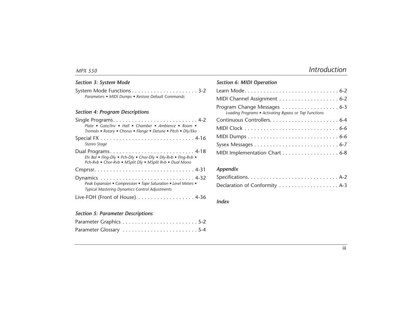#### *Section 3: System Mode*

| Parameters • MIDI Dumps • Restore Default Commands |  |
|----------------------------------------------------|--|

#### *Section 4: Program Descriptions*

| Plate • Gate/Inv • Hall • Chamber • Ambience • Room •<br>Tremolo • Rotary • Chorus • Flange • Detune • Pitch • Dly/Eko     |
|----------------------------------------------------------------------------------------------------------------------------|
| Stereo Stage                                                                                                               |
| Efx Bal . Fing-Dly . Pch-Dly . Chor-Dly . Dly-Rvb . Fing-Rvb .<br>Pch-Rvb . Chor-Rvb . MSplit Dly . MSplit Rvb . Dual Mono |
|                                                                                                                            |
| Peak Expansion . Compression . Tape Saturation . Level Meters .<br><b>Typical Mastering Dynamics Control Adjustments</b>   |
| Live-FOH (Front of House) $\dots\dots\dots\dots\dots\dots$ 4-36                                                            |

#### *Section 6: MIDI Operation*

| Program Change Messages 6-3<br>Loading Programs . Activating Bypass or Tap Functions |
|--------------------------------------------------------------------------------------|
|                                                                                      |
|                                                                                      |
|                                                                                      |
|                                                                                      |
| MIDI Implementation Chart 6-8                                                        |

#### *Appendix*

#### *Index*

#### *Section 5: Parameter Descriptions*

| Parameter Glossary 5-4 |  |  |  |  |  |  |  |  |  |  |  |  |  |
|------------------------|--|--|--|--|--|--|--|--|--|--|--|--|--|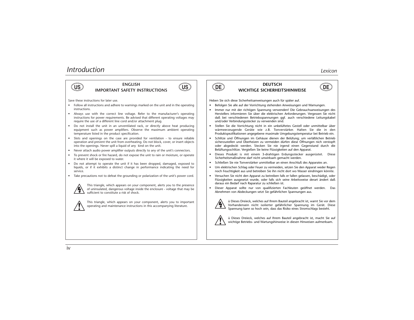

### **ENGLISH**



Save these instructions for later use.

- Follow all instructions and adhere to warnings marked on the unit and in the operating instructions.
- Always use with the correct line voltage. Refer to the manufacturer's operating instructions for power requirements. Be advised that different operating voltages may require the use of a different line cord and/or attachment plug.
- Do not install the unit in an unventilated rack, or directly above heat producing equipment such as power amplifiers. Observe the maximum ambient operating temperature listed in the product specification.
- Slots and openings on the case are provided for ventilation to ensure reliable operation and prevent the unit from overheating. Do not block, cover, or insert objects into the openings. Never spill a liquid of any kind on the unit.
- Never attach audio power amplifier outputs directly to any of the unit's connectors.
- To prevent shock or fire hazard, do not expose the unit to rain or moisture, or operate it where it will be exposed to water.
- Do not attempt to operate the unit if it has been dropped, damaged, exposed to liquids, or if it exhibits a distinct change in performance indicating the need for service.
- Take precautions not to defeat the grounding or polarization of the unit's power cord.



This triangle, which appears on your component, alerts you to the presence of uninsulated, dangerous voltage inside the enclosure - voltage that may be sufficient to constitute a risk of shock.



This triangle, which appears on your component, alerts you to important operating and maintenance instructions in this accompanying literature.



#### **IMPORTANT SAFETY INSTRUCTIONS US US DEUTSCH WICHTIGE SICHERHEITSHINWEISE DE DEUTSCH DEUTSCH DE**<br> **DE DE DEUTSCHERHEITSHINWEISE**



Heben Sie sich diese Sicherheitsanweisungen auch für später auf.

- •Befolgen Sie alle auf der Vorrichtung stehenden Anweisungen und Warnungen.
- • Immer nur mit der richtigen Spannung verwenden! Die Gebrauchsanweisungen des Herstellers informieren Sie über die elektrischen Anforderungen. Vergessen Sie nicht daß bei verschiedenen Betriebsspannungen ggf. auch verschiedene Leitungskabel und/oder Verbindungsstecker zu verwenden sind.
- Stellen Sie die Vorrichtung nicht in ein unbelüftetes Gestell oder unmittelbar über wärmeerzeugende Geräte wie z.B. Tonverstärker. Halten Sie die in den Produktspezifikationen angegebene maximale Umgebungstemperatur bei Betrieb ein.
- Schlitze und Öffnungen im Gehäuse dienen der Belüfung; um verläßlichen Betrieb sicherzustellen und Überheizen zu vermeiden dürfen diese Öffnungen nich verstopft oder abgedeckt werden. Stecken Sie nie irgend einen Gegenstand durch die Belüftungsschlitze. Vergießen Sie keine Flüssigkeiten auf den Apparat.
- Dieses Produkt is mit einem 3-drahtigen Erdungsstecker ausgerüstet. Diese Sicherheitsmaßnahme darf nicht unwirksam gemacht werden.
- Schließen Sie nie Tonverstärker unmittelbar an einen Anschluß des Apparates an.
- Um elektrischen Schlag oder Feuer zu vermeiden, setzen Sie den Apparat weder Regen noch Feuchtigkeit aus und betreiben Sie ihn nicht dort wo Wasser eindringen könnte.
- Versuchen Sie nicht den Apparat zu betreiben falls er fallen gelassen, beschädigt, oder Flüssigkeiten ausgesetzt wurde, oder falls sich seine Arbeitsweise derart ändert daß daraus ein Bedarf nach Raparatur zu schließen ist.
- Dieser Apparat sollte nur von qualifizierten Fachleuten geöffnet werden. Das Abnehmen von Abdeckungen setzt Sie gefährlichen Spannungen aus.



ü Dieses Dreieck, welches auf Ihrem Bauteil angebracht ist, warnt Sie vor dem Vorhandensein nicht isolierter gefährlicher Spannung im Gerät. Diese Spannung kann so hoch sein, dass das Risiko eines Stromschlags besteht.



ü Dieses Dreieck, welches auf Ihrem Bauteil angebracht ist, macht Sie auf wichtige Betriebs- und Wartungshinweise in diesen Hinweisen aufmerksam.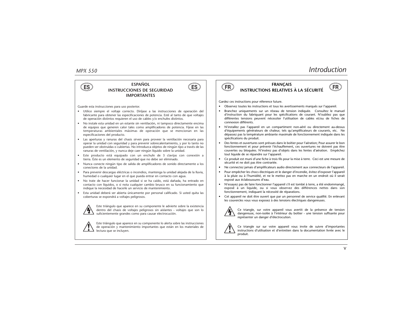

**ESPAÑOL INSTRUCCIONES DE SEGURIDAD IMPORTANTES ES ES FRANÇAIS INSTRUCTIONS RELATIVES À LA SÉCURITÉ FR FR**



Guarde esta instrucciones para uso posterior.

- Utilice siempre el voltaje correcto. Diríjase a las instrucciones de operación del fabricante para obtener las especificaciones de potencia. Esté al tanto de que voltajes de operación distintos requieren el uso de cables y/o enchufes distintos.
- No instale esta unidad en un estante sin ventilación, ni tampoco directamente encima de equipos que generen calor tales como amplificadores de potencia. Fíjese en las temperaturas ambientales máximas de operación que se mencionan en las especificaciones del producto.
- Las aperturas y ranuras del chasis sirven para proveer la ventilación necesaria para operar la unidad con seguridad y para prevenir sobrecalentamiento, y por lo tanto no pueden ser obstruidas o cubiertas. No introduzca objetos de ningún tipo a través de las ranuras de ventilación, y nunca deje caer ningún líquido sobre la unidad.
- Este producto está equipado con un enchufe de 3 clavijas con conexión a tierra. Éste es un elemento de seguridad que no debe ser eliminado.
- Nunca conecte ningún tipo de salida de amplificadores de sonido directamente a los conectores de la unidad.
- • Para prevenir descargas eléctricas o incendios, mantenga la unidad alejada de la lluvia, humedad o cualquier lugar en el que pueda entrar en contacto con agua.
- No trate de hacer funcionar la unidad si se ha caído, está dañada, ha entrado en contacto con líquidos, o si nota cualquier cambio brusco en su funcionamiento que indique la necesidad de hacerle un servicio de mantenimiento.
- Esta unidad deberá ser abierta únicamente por personal calificado. Si usted quita las coberturas se expondrá a voltajes peligrosos.



Este triángulo que aparece en su componente le advierte sobre la existencia dentro del chasis de voltajes peligrosos sin aislantes - voltajes que son lo suficientemente grandes como para causar electrocución.

Este triángulo que aparece en su componente lo alerta sobre las instrucciones de operación y mantenimiento importantes que están en los materiales de lectura que se incluyen.





Gardez ces instructions pour réference future.

- •Observez toutes les instructions et tous les avertissements marqués sur l'appareil.
- • Branchez uniquements sur un réseau de tension indiquée. Consultez le manuel d'instruction du fabriquant pour les spécifications de courant. N'oubliez pas que différentes tensions peuvent nécessiter l'utilisation de cables et/ou de fiches de connexion différents.
- N'installez pas l'appareil en un compartiment non-aéré ou directement au-dessus d'équipements générateurs de chaleur, tels qu'amplificateurs de courants, etc. Ne dépassez pas la température ambiante maximale de fonctionnement indiquée dans les spécifications du produit.
- Des fentes et ouvertures sont prévues dans le boîtier pour l'aération; Pour assurer le bon fonctionnement et pour prévenir l'échauffement, ces ouvertures ne doivent pas être couvertes ou bloquées. N'insérez pas d'objets dans les fentes d'aération. Empêchez tout liquide de se répandre sur l'appareil.
- Ce produit est muni d'une fiche à trois fils pour la mise à terre. Ceci est une mesure de sécurité et ne doit pas être contrariée.
- Ne connectez jamais d'amplificateurs audio directement aux connecteurs de l'appareil.
- • Pour empêcher les chocs électriques et le danger d'incendie, évitez d'exposer l'appareil à la pluie ou à l'humidité, et ne le mettez pas en marche en un endroit où il serait exposé aux éclaboussures d'eau.
- N'essayez pas de faire fonctionner l'appareil s'il est tombé à terre, a été endommangé, exposé à un liquide, ou si vous observez des différences nettes dans son fonctionnement, indiquant la nécessité de réparations.
- Cet appareil ne doit être ouvert que par un personnel de service qualifié. En enlevant les couvercles vous vous exposez à des tensions électriques dangereuses.



Ce triangle, sur votre appareil vous avertit de la présence de tension dangereuse, non-isolée à l'intérieur du boîtier - une tension suffisante pour représenter un danger d'électrocution.



Ce triangle sur sur votre appareil vous invite de suivre d'importantes instructions d'utilisation et d'entretien dans la documentation livrée avec le produit.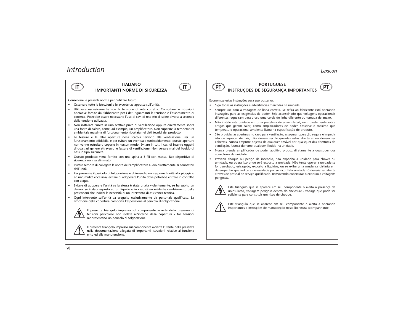## **IT ITALIANO**<br>IMPORTANTI NORME DI SICUREZZA **IT**



Conservare le presenti norme per l'utilizzo futuro.

- Osservare tutte le istruzioni e le avvertenze apposte sull'unità.
- Utilizzare esclusivamente con la tensione di rete corretta. Consultare le istruzioni operative fornite dal fabbricante per i dati riguardanti la tensione e l'assorbimento di corrente. Potrebbe essere necessario l'uso di cavi di rete e/o di spine diverse a seconda della tensione utilizzata.
- Non installare l'unità in uno scaffale privo di ventilazione oppure direttamente sopra una fonte di calore, come, ad esempio, un amplificatore. Non superare la temperatura ambientale massima di funzionamento riportata nei dati tecnici del prodotto.
- Le fessure e le altre aperture nella scatola servono alla ventilazione. Per un funzionamento affidabile, e per evitare un eventuale surriscaldamento, queste aperture non vanno ostruite o coperte in nessun modo. Evitare in tutti i casi di inserire oggetti di qualsiasi genere attraverso le fessure di ventilazione. Non versare mai del liquido di nessun tipo sull'unità.
- Questo prodotto viene fornito con una spina a 3 fili con massa. Tale dispositivo di sicurezza non va eliminato.
- Evitare sempre di collegare le uscite dell'amplificatore audio direttamente ai connettori dell'unità.
- Per prevenire il pericolo di folgorazione e di incendio non esporre l'unità alla pioggia o ad un'umidità eccessiva; evitare di adoperare l'unità dove potrebbe entrare in contatto con acqua.
- Evitare di adoperare l'unità se la stessa è stata urtata violentemente, se ha subito un danno, se è stata esposta ad un liquido o in caso di un evidente cambiamento delle prestazioni che indichi la necessità di un intervento di assistenza tecnica.
- Ogni intervento sull'unità va eseguito esclusivamente da personale qualificato. La rimozione della copertura comporta l'esposizione al pericolo di folgorazione.



Il presente triangolo impresso sul componente avverte della presenza di tensioni pericolose non isolate all'interno della copertura - tali tensioni rappresentano un pericolo di folgorazione.



Il presente triangolo impresso sul componente avverte l'utente della presenza nella documentazione allegata di importanti istruzioni relative al funziona ento ed alla manutenzione.



#### **PORTUGUESE INSTRUÇÕES DE SEGURANTI NORME DI SICUREZZA (TITULIANO PORTUGUESE PORTUGUESE PESEURANÇA IMPORTANTES (PT**

Economize estas instruções para uso posterior.

- Siga todas as instruções e advertências marcadas na unidade.
- Sempre use com a voltagem de linha correta. Se refira ao fabricante está operando instruções para as exigências de poder. Seja aconselhado que voltagens operacionais diferentes requeiram para o uso uma corda de linha diferente ou tomada de anexo.
- Não instale esta unidade em uma prateleira de unventilated, nem diretamente sobre artigos que geram calor, como amplificadores de poder. Observe o máximo que temperatura operacional ambiente listou na especificação de produto.
- São providas as aberturas no caso para ventilação; assegurar operação segura e impedir isto de aquecer demais, não devem ser bloqueadas estas aberturas ou devem ser cobertas. Nunca empurre objetos de qualquer amável por quaisquer das aberturas de ventilação. Nunca derrame qualquer líquido na unidade.
- Nunca prenda amplificador de poder auditivo produz diretamente a quaisquer dos conectores da unidade.
- • Prevenir choque ou perigo de incêndio, não exponha a unidade para chover ou umidade, ou opera isto onde será exposto a umidade. Não tente operar a unidade se foi derrubado, estragado, exposto a líquidos, ou se exibe uma mudança distinta em desempenho que indica a necessidade por serviço. Esta unidade só deveria ser aberta através de pessoal de serviço qualificado. Removendo coberturas o exporão a voltagens perigosas.



Este triângulo que se aparece em seu componente o alerta à presença de uninsulated, voltagem perigosa dentro do enclosure - voltage que pode ser suficiente para constituir um risco de choque.



Este triângulo que se aparece em seu componente o alerta a operando importantes e instruções de manutenção nesta literatura acompanhante.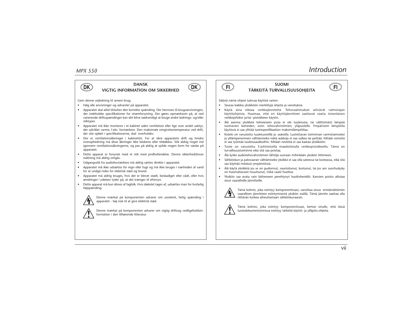



Gem denne vejledning til senere brug.

- Følg alle anvisninger og advarsler på apparatet.
- Apparatet skal altid tilsluttes den korrekte spænding. Der henvises til brugsanvisningen, der indeholder specifikationer for strømforsyning. Der gøres opmærksom på, at ved varierende driftsspændinger kan det blive nødvendigt at bruge andre lednings- og/eller stiktyper.
- • Apparatet må ikke monteres i et kabinet uden ventilation eller lige over andet udstyr, der udvikler varme, f.eks. forstærkere. Den maksimale omgivelsestemperatur ved drift, der står opført i specifikationerne, skal overholdes.
- Der er ventilationsåbninger i kabinettet. For at sikre apparatets drift og hindre overophedning må disse åbninger ikke blokeres eller tildækkes. Stik aldrig noget ind igennem ventilationsåbningerne, og pas på aldrig at spilde nogen form for væske på apparatet.
- Dette apparat er forsynet med et stik med jordforbindelse. Denne sikkerhedsforan staltning må aldrig omgås.
- Udgangsstik fra audioforstærkere må aldrig sættes direkte i apparatet.
- Apparatet må ikke udsættes for regn eller fugt og må ikke bruges i nærheden af vand for at undgå risiko for elektrisk stød og brand.
- Apparatet må aldrig bruges, hvis det er blevet stødt, beskadiget eller vådt, eller hvis ændringer i ydelsen tyder på, at det trænger til eftersyn.
- Dette apparat må kun åbnes af fagfolk. Hvis dækslet tages af, udsættes man for livsfarlig højspænding.



Denne mærkat på komponenten advarer om uisoleret, farlig spænding i apparatet - høj nok til at give elektrisk stød.



Denne mærkat på komponenten advarer om vigtig driftsog vedligeholdsinformation i den tilhørende litteratur.



#### **SUOMI TÄRKEITÄ TURVALLISUUSOHJEITA DK DK FI FI**



Säilytä nämä ohjeet tulevaa käyttöä varten.

- •Seuraa kaikkia yksikköön merkittyjä ohjeita ja varoituksia.
- • Käytä aina oikeaa verkkojännitettä. Tehovaatimukset selviävät valmistajan käyttöohjeista. Huomaa, että eri käyttöjännitteet saattavat vaatia toisenlaisen verkkojohdon ja/tai -pistokkeen käytön.
- Älä asenna yksikköä telineeseen jossa ei ole tuuletusta, tai välittömästi lämpöä tuottavien laitteiden, esim. tehovahvistimien, yläpuolelle. Ympäristön lämpötila käytössä ei saa ylittää tuotespesifikaation maksimilämpötilaa.
- Kotelo on varustettu tuuletusreiillä ja -aukoilla. Luotettavan toiminnan varmistamiseksi ja ylilämpenemisen välttämiseksi näitä aukkoja ei saa sulkea tai peittää. Mitään esineitä ei saa työntää tuuletusaukkoihin. Mitään nesteitä ei saa kaataa yksikköön.
- Tuote on varustettu 3-johtimisella maadoitetulla verkkopistokkeella. Tämä on turvallisuustoiminne eikä sitä saa poistaa.
- •Älä kytke audiotehovahvistimen lähtöjä suoraan mihinkään yksikön liittimeen.
- Sähköiskun ja palovaaran välttämiseksi yksikkö ei saa olla sateessa tai kosteassa, eikä sitä saa käyttää märässä ympäristössä.
- Älä käytä yksikköä jos se on pudonnut, vaurioitunut, kostunut, tai jos sen suorituskyky on huomattavasti muuttunut, mikä vaatii huoltoa.
- Yksikön saa avata vain laitteeseen perehtynyt huoltohenkilö. Kansien poisto altistaa sinut vaarallisille jännitteille.



Tämä kolmio, joka esiintyy komponentissasi, varoittaa sinua eristämättömän vaarallisen jännitteen esiintymisestä yksikön sisällä. Tämä jännite saattaa olla riittävän korkea aiheuttamaan sähköiskuvaaran.



Tämä kolmio, joka esiintyy komponentissasi, kertoo sinulle, että tässä tuotedokumentoinnissa esiintyy tärkeitä käyttö- ja ylläpito-ohjeita.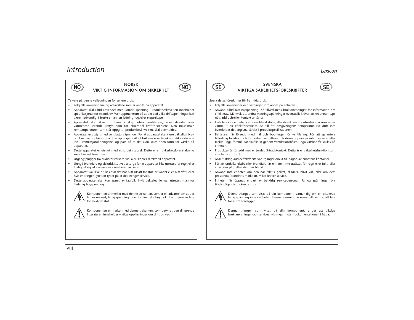**NORSK VIKTIG INFORMASJON OM SIKKERHET**



Ta vare på denne veiledningen for senere bruk.

- Følg alle anvisningene og advarslene som er angitt på apparatet.
- Apparatet skal alltid anvendes med korrekt spenning. Produktbeskrivelsen inneholder spesifikasjoner for strømkrav. Vær oppmerksom på at det ved ulike driftsspenninger kan være nødvendig å bruke en annen ledning- og/eller støpseltype.
- Apparatet skal ikke monteres i skap uten ventilasjon, eller direkte over varmeproduserende utstyr, som for eksempel kraftforsterkere. Den maksimale romtemperaturen som står oppgitt i produktbeskrivelsen, skal overholdes.
- Apparatet er utstyrt med ventilasjonsåpninger. For at apparatet skal være pålitelig i bruk og ikke overopphetes, må disse åpningene ikke blokkeres eller tildekkes. Stikk aldri noe inn i ventilasjonsåpningene, og pass på at det aldri søles noen form for væske på apparatet.
- Dette apparatet er utstyrt med et jordet støpsel. Dette er en sikkerhetsforanstaltning som ikke må forandres.
- •Utgangsplugger fra audioforsterkere skal aldri koples direkte til apparatet.
- Unngå brannfare og elektrisk støt ved å sørge for at apparatet ikke utsettes for regn eller fuktighet og ikke anvendes i nærheten av vann.
- Apparatet skal ikke brukes hvis det har blitt utsatt for støt, er skadet eller blitt vått, eller hvis endringer i ytelsen tyder på at det trenger service.
- Dette apparatet skal kun åpnes av fagfolk. Hvis dekselet fjernes, utsettes man for livsfarlig høyspenning.



Komponenten er merket med denne trekanten, som er en advarsel om at det finnes uisolert, farlig spenning inne i kabinettet - høy nok til å utgjøre en fare for elektrisk støt.



Komponenten er merket med denne trekanten, som betyr at den tilhørende litteraturen inneholder viktige opplysninger om drift og ved



#### **SVENSKA VIKTIGA SÄKERHETSFÖRESKRIFTER NO NO SE SE**



Spara dessa föreskrifter för framtida bruk.

- Följ alla anvisningar och varningar som anges på enheten.
- Använd alltid rätt nätspänning. Se tillverkarens bruksanvisningar för information om effektkrav. Märkväl, att andra matningsspänningar eventuellt kräver att en annan typs nätsladd och/eller kontakt används.
- Installera inte enheten i ett oventilerat stativ, eller direkt ovanför utrustningar som avger värme, t ex effektförstärkare. Se till att omgivningens temperatur vid drift inte överskrider det angivna värdet i produktspecifikationen.
- Behållaren är försedd med hål och öppningar för ventilering. För att garantera tillförlitlig funktion och förhindra överhettning får dessa öppningar inte blockeras eller täckas. Inga föremål får skuffas in genom ventilationshålen. Inga vätskor får spillas på enheten.
- Produkten är försedd med en jordad 3-trådskontakt. Detta är en säkerhetsfunktion som inte får tas ur bruk.
- Anslut aldrig audioeffektförstärkarutgångar direkt till någon av enhetens kontakter.
- För att undvika elstöt eller brandfara får enheten inte utsättas för regn eller fukt, eller användas på ställen där den blir våt.
- Använd inte enheten om den har fallit i golvet, skadats, blivit våt, eller om dess prestanda förändrats märkbart, vilket kräver service.
- • Enheten får öppnas endast av behörig servicepersonal. Farliga spänningar blir tillgängliga när locken tas bort.



Denna triangel, som visas på din komponent, varnar dig om en oisolerad farlig spänning inne i enheten. Denna spänning är eventuellt så hög att fara för elstöt föreligger.



Denna triangel, som visas på din komponent, anger att viktiga bruksanvisningar och serviceanvisningar ingår i dokumentationen i fråga.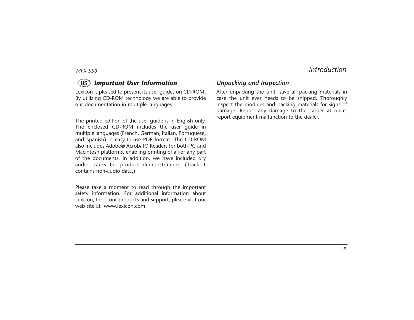#### *Important User Information* **US**

Lexicon is pleased to present its user guides on CD-ROM. By utilizing CD-ROM technology we are able to provide our documentation in multiple languages.

The printed edition of the user guide is in English only. The enclosed CD-ROM includes the user guide in multiple languages (French, German, Italian, Portuguese, and Spanish) in easy-to-use PDF format. The CD-ROM also includes Adobe® Acrobat® Readers for both PC and Macintosh platforms, enabling printing of all or any part of the documents. In addition, we have included dry audio tracks for product demonstrations. (Track 1 contains non-audio data.)

Please take a moment to read through the important safety information. For additional information about Lexicon, Inc., our products and support, please visit our web site at www.lexicon.com.

#### *Unpacking and Inspection*

After unpacking the unit, save all packing materials in case the unit ever needs to be shipped. Thoroughly inspect the modules and packing materials for signs of damage. Report any damage to the carrier at once; report equipment malfunction to the dealer.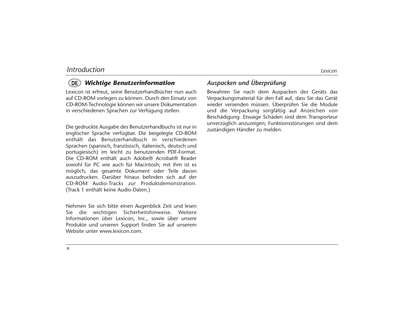#### *Wichtige Benutzerinformation* **DE**

Lexicon ist erfreut, seine Benutzerhandbücher nun auch auf CD-ROM vorlegen zu können. Durch den Einsatz von CD-ROM-Technologie können wir unsere Dokumentation in verschiedenen Sprachen zur Verfügung stellen.

Die gedruckte Ausgabe des Benutzerhandbuchs ist nur in englischer Sprache verfügbar. Die beigelegte CD-ROM enthält das Benutzerhandbuch in verschiedenen Sprachen (spanisch, französisch, italienisch, deutsch und portugiesisch) im leicht zu benutzenden PDF-Format. Die CD-ROM enthält auch Adobe® Acrobat® Reader sowohl für PC wie auch für Macintosh; mit ihm ist es möglich, das gesamte Dokument oder Teile davon auszudrucken. Darüber hinaus befinden sich auf der CD-ROM Audio-Tracks zur Produktdemonstration. (Track 1 enthält keine Audio-Daten.)

Nehmen Sie sich bitte einen Augenblick Zeit und lesen Sie die wichtigen Sicherheitshinweise. Weitere Informationen über Lexicon, Inc., sowie über unsere Produkte und unseren Support finden Sie auf unserem Website unter www.lexicon.com.

#### *Auspacken und Überprüfung*

Bewahren Sie nach dem Auspacken des Geräts das Verpackungsmaterial für den Fall auf, dass Sie das Gerät wieder versenden müssen. Überprüfen Sie die Module und die Verpackung sorgfältig auf Anzeichen von Beschädigung. Etwaige Schäden sind dem Transporteur unverzüglich anzuzeigen; Funktionsstörungen sind dem zuständigen Händler zu melden.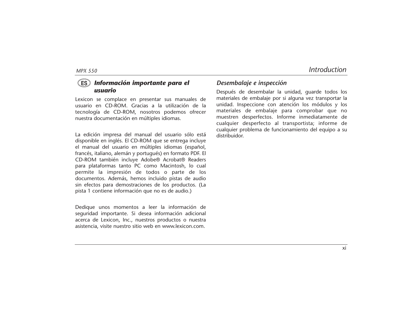#### *Información importante para el usuario* **ES**

Lexicon se complace en presentar sus manuales de usuario en CD-ROM. Gracias a la utilización de la tecnología de CD-ROM, nosotros podemos ofrecer nuestra documentación en múltiples idiomas.

La edición impresa del manual del usuario sólo está disponible en inglés. El CD-ROM que se entrega incluye el manual del usuario en múltiples idiomas (español, francés, italiano, alemán y portugués) en formato PDF. El CD-ROM también incluye Adobe® Acrobat® Readers para plataformas tanto PC como Macintosh, lo cual permite la impresión de todos o parte de los documentos. Además, hemos incluido pistas de audio sin efectos para demostraciones de los productos. (La pista 1 contiene información que no es de audio.)

Dedique unos momentos a leer la información de seguridad importante. Si desea información adicional acerca de Lexicon, Inc., nuestros productos o nuestra asistencia, visite nuestro sitio web en www.lexicon.com.

#### *Desembalaje e inspección*

Después de desembalar la unidad, guarde todos los materiales de embalaje por si alguna vez transportar la unidad. Inspeccione con atención los módulos y los materiales de embalaje para comprobar que no muestren desperfectos. Informe inmediatamente de cualquier desperfecto al transportista; informe de cualquier problema de funcionamiento del equipo a su distribuidor.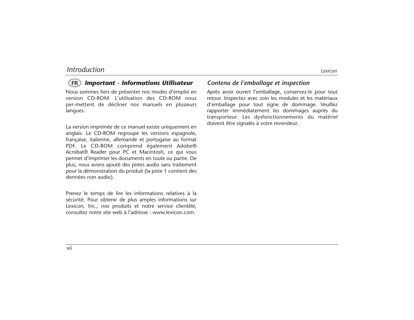#### *Important - Informations Utilisateur* **FR**

Nous sommes fiers de présenter nos modes d'emploi en version CD-ROM. L'utilisation des CD-ROM nous per-mettent de décliner nos manuels en plusieurs langues.

La version imprimée de ce manuel existe uniquement en anglais. Le CD-ROM regroupe les versions espagnole, française, italienne, allemande et portugaise au format PDF. Le CD-ROM comprend également Adobe® Acrobat® Reader pour PC et Macintosh, ce qui vous permet d'imprimer les documents en toute ou partie. De plus, nous avons ajouté des pistes audio sans traitement pour la démonstration du produit (la piste 1 contient des données non audio).

Prenez le temps de lire les informations relatives à la sécurité. Pour obtenir de plus amples informations sur Lexicon, Inc., nos produits et notre service clientèle, consultez notre site web à l'adresse : www.lexicon.com.

#### *Contenu de l'emballage et inspection*

Après avoir ouvert l'emballage, conservez-le pour tout retour. Inspectez avec soin les modules et les matériaux d'emballage pour tout signe de dommage. Veuillez rapporter immédiatement les dommages auprès du transporteur. Les dysfonctionnements du matériel doivent être signalés à votre revendeur.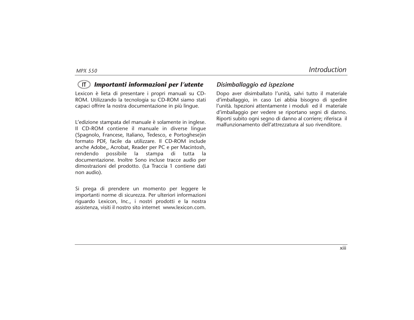#### *Importanti informazioni per l'utente* **IT**

Lexicon è lieta di presentare i propri manuali su CD-ROM. Utilizzando la tecnologia su CD-ROM siamo stati capaci offrire la nostra documentazione in più lingue.

L'edizione stampata del manuale è solamente in inglese. Il CD-ROM contiene il manuale in diverse lingue (Spagnolo, Francese, Italiano, Tedesco, e Portoghese)in formato PDF, facile da utilizzare. Il CD-ROM include anche Adobe,, Acrobat, Reader per PC e per Macintosh, rendendo possibile la stampa di tutta la documentazione. Inoltre Sono incluse tracce audio per dimostrazioni del prodotto. (La Traccia 1 contiene dati non audio).

Si prega di prendere un momento per leggere le importanti norme di sicurezza. Per ulteriori informazioni riguardo Lexicon, Inc., i nostri prodotti e la nostra assistenza, visiti il nostro sito internet www.lexicon.com.

#### *Disimballaggio ed ispezione*

Dopo aver disimballato l'unità, salvi tutto il materiale d'imballaggio, in caso Lei abbia bisogno di spedire l'unità. Ispezioni attentamente i moduli ed il materiale d'imballaggio per vedere se riportano segni di danno. Riporti subito ogni segno di danno al corriere; riferisca il malfunzionamento dell'attrezzatura al suo rivenditore.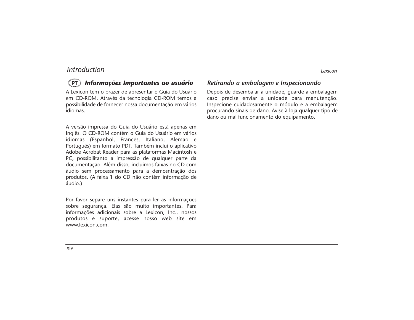#### *Informações Importantes ao usuário* **PT**

A Lexicon tem o prazer de apresentar o Guia do Usuário em CD-ROM. Através da tecnologia CD-ROM temos a possibilidade de fornecer nossa documentação em vários idiomas.

A versão impressa do Guia do Usuário está apenas em Inglês. O CD-ROM contém o Guia do Usuário em vários idiomas (Espanhol, Francês, Italiano, Alemão e Português) em formato PDF. Também inclui o aplicativo Adobe Acrobat Reader para as plataformas Macintosh e PC, possibilitanto a impressão de qualquer parte da documentação. Além disso, incluimos faixas no CD com áudio sem processamento para a demosntração dos produtos. (A faixa 1 do CD não contém informação de áudio.)

Por favor separe uns instantes para ler as informações sobre segurança. Elas são muito importantes. Para informações adicionais sobre a Lexicon, Inc., nossos produtos e suporte, acesse nosso web site em www.lexicon.com.

#### *Retirando a embalagem e Inspecionando*

Depois de desembalar a unidade, guarde a embalagem caso precise enviar a unidade para manutenção. Inspecione cuidadosamente o módulo e a embalagem procurando sinais de dano. Avise à loja qualquer tipo de dano ou mal funcionamento do equipamento.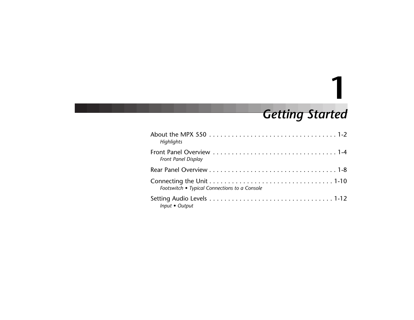## *Getting Started*

**1**

| Highlights                                    |
|-----------------------------------------------|
| Front Panel Display                           |
|                                               |
| Footswitch • Typical Connections to a Console |
| Input • Output                                |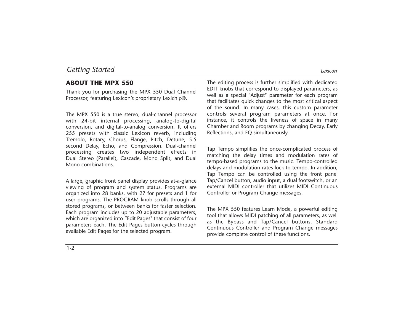#### **ABOUT THE MPX 550**

Thank you for purchasing the MPX 550 Dual Channel Processor, featuring Lexicon's proprietary Lexichip®.

The MPX 550 is a true stereo, dual-channel processor with 24-bit internal processing, analog-to-digital conversion, and digital-to-analog conversion. It offers 255 presets with classic Lexicon reverb, including Tremolo, Rotary, Chorus, Flange, Pitch, Detune, 5.5 second Delay, Echo, and Compression. Dual-channel processing creates two independent effects in Dual Stereo (Parallel), Cascade, Mono Split, and Dual Mono combinations.

A large, graphic front panel display provides at-a-glance viewing of program and system status. Programs are organized into 28 banks, with 27 for presets and 1 for user programs. The PROGRAM knob scrolls through all stored programs, or between banks for faster selection. Each program includes up to 20 adjustable parameters, which are organized into "Edit Pages" that consist of four parameters each. The Edit Pages button cycles through available Edit Pages for the selected program.

The editing process is further simplified with dedicated EDIT knobs that correspond to displayed parameters, as well as a special "Adjust" parameter for each program that facilitates quick changes to the most critical aspect of the sound. In many cases, this custom parameter controls several program parameters at once. For instance, it controls the liveness of space in many Chamber and Room programs by changing Decay, Early Reflections, and EQ simultaneously.

Tap Tempo simplifies the once-complicated process of matching the delay times and modulation rates of tempo-based programs to the music. Tempo-controlled delays and modulation rates lock to tempo. In addition, Tap Tempo can be controlled using the front panel Tap/Cancel button, audio input, a dual footswitch, or an external MIDI controller that utilizes MIDI Continuous Controller or Program Change messages.

The MPX 550 features Learn Mode, a powerful editing tool that allows MIDI patching of all parameters, as well as the Bypass and Tap/Cancel buttons. Standard Continuous Controller and Program Change messages provide complete control of these functions.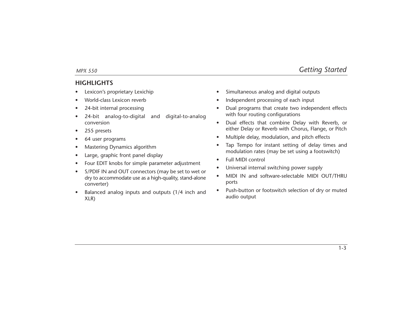#### **HIGHLIGHTS**

- •Lexicon's proprietary Lexichip
- •World-class Lexicon reverb
- •24-bit internal processing
- • 24-bit analog-to-digital and digital-to-analog conversion
- •255 presets
- •64 user programs
- •Mastering Dynamics algorithm
- •Large, graphic front panel display
- •Four EDIT knobs for simple parameter adjustment
- • S/PDIF IN and OUT connectors (may be set to wet or dry to accommodate use as a high-quality, stand-alone converter)
- • Balanced analog inputs and outputs (1/4 inch and XLR)
- $\bullet$ Simultaneous analog and digital outputs
- •Independent processing of each input
- • Dual programs that create two independent effects with four routing configurations
- • Dual effects that combine Delay with Reverb, or either Delay or Reverb with Chorus, Flange, or Pitch
- •Multiple delay, modulation, and pitch effects
- • Tap Tempo for instant setting of delay times and modulation rates (may be set using a footswitch)
- •Full MIDI control
- •Universal internal switching power supply
- • MIDI IN and software-selectable MIDI OUT/THRU ports
- • Push-button or footswitch selection of dry or muted audio output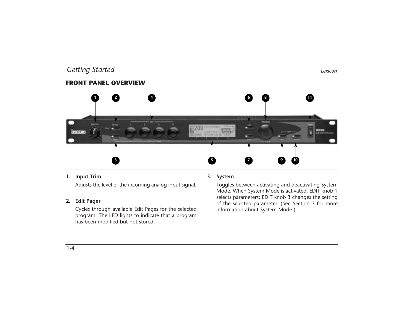#### **FRONT PANEL OVERVIEW**



#### **1. Input Trim**

Adjusts the level of the incoming analog input signal.

#### **2. Edit Pages**

Cycles through available Edit Pages for the selected program. The LED lights to indicate that a program has been modified but not stored.

#### **3. System**

Toggles between activating and deactivating System Mode. When System Mode is activated, EDIT knob 1 selects parameters; EDIT knob 3 changes the setting of the selected parameter. (See Section 3 for more information about System Mode.)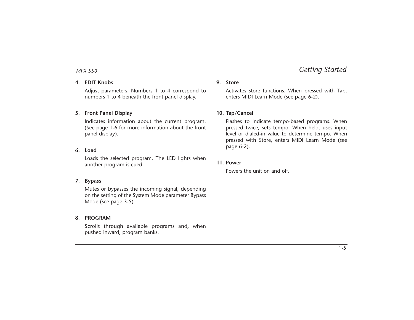#### **4. EDIT Knobs**

Adjust parameters. Numbers 1 to 4 correspond to numbers 1 to 4 beneath the front panel display.

#### **5. Front Panel Display**

Indicates information about the current program. (See page 1-6 for more information about the front panel display).

#### **6. Load**

Loads the selected program. The LED lights when another program is cued.

#### **7. Bypass**

Mutes or bypasses the incoming signal, depending on the setting of the System Mode parameter Bypass Mode (see page 3-5).

#### **8. PROGRAM**

Scrolls through available programs and, when pushed inward, program banks.

#### **9. Store**

Activates store functions. When pressed with Tap, enters MIDI Learn Mode (see page 6-2).

#### **10. Tap/Cancel**

Flashes to indicate tempo-based programs. When pressed twice, sets tempo. When held, uses input level or dialed-in value to determine tempo. When pressed with Store, enters MIDI Learn Mode (see page 6-2).

#### **11. Power**

Powers the unit on and off.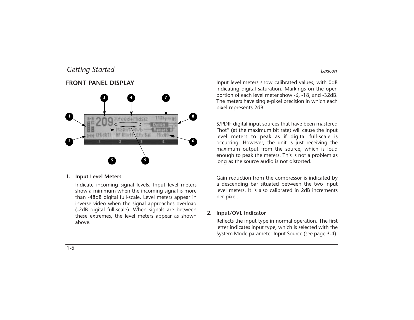#### **FRONT PANEL DISPLAY**



#### **1. Input Level Meters**

Indicate incoming signal levels. Input level meters show a minimum when the incoming signal is more than -48dB digital full-scale. Level meters appear in inverse video when the signal approaches overload (-2dB digital full-scale). When signals are between these extremes, the level meters appear as shown above.

Input level meters show calibrated values, with 0dB indicating digital saturation. Markings on the open portion of each level meter show -6, -18, and -32dB. The meters have single-pixel precision in which each pixel represents 2dB.

S/PDIF digital input sources that have been mastered "hot" (at the maximum bit rate) will cause the input level meters to peak as if digital full-scale is occurring. However, the unit is just receiving the maximum output from the source, which is loud enough to peak the meters. This is not a problem as long as the source audio is not distorted.

Gain reduction from the compressor is indicated by a descending bar situated between the two input level meters. It is also calibrated in 2dB increments per pixel.

#### **2. Input/OVL Indicator**

Reflects the input type in normal operation. The first letter indicates input type, which is selected with the System Mode parameter Input Source (see page 3-4).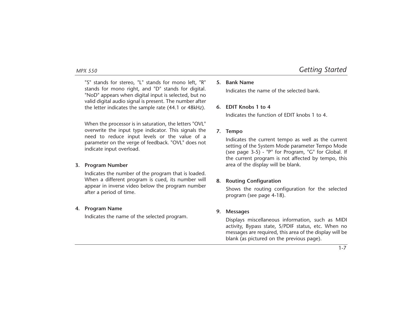"S" stands for stereo, "L" stands for mono left, "R" stands for mono right, and "D" stands for digital. "NoD" appears when digital input is selected, but no valid digital audio signal is present. The number after the letter indicates the sample rate (44.1 or 48kHz).

When the processor is in saturation, the letters "OVL" overwrite the input type indicator. This signals the need to reduce input levels or the value of a parameter on the verge of feedback. "OVL" does not indicate input overload.

#### **3. Program Number**

Indicates the number of the program that is loaded. When a different program is cued, its number will appear in inverse video below the program number after a period of time.

#### **4. Program Name**

Indicates the name of the selected program.

#### **5. Bank Name**

Indicates the name of the selected bank.

#### **6. EDIT Knobs 1 to 4**

Indicates the function of EDIT knobs 1 to 4.

#### **7. Tempo**

Indicates the current tempo as well as the current setting of the System Mode parameter Tempo Mode (see page 3-5) - "P" for Program, "G" for Global. If the current program is not affected by tempo, this area of the display will be blank.

#### **8. Routing Configuration**

Shows the routing configuration for the selected program (see page 4-18).

#### **9. Messages**

Displays miscellaneous information, such as MIDI activity, Bypass state, S/PDIF status, etc. When no messages are required, this area of the display will be blank (as pictured on the previous page).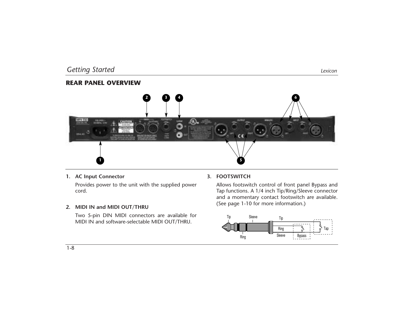#### **REAR PANEL OVERVIEW**



**1. AC Input Connector**

Provides power to the unit with the supplied power cord.

#### **2. MIDI IN and MIDI OUT/THRU**

Two 5-pin DIN MIDI connectors are available for MIDI IN and software-selectable MIDI OUT/THRU.

#### **3. FOOTSWITCH**

Allows footswitch control of front panel Bypass and Tap functions. A 1/4 inch Tip/Ring/Sleeve connector and a momentary contact footswitch are available. (See page 1-10 for more information.)

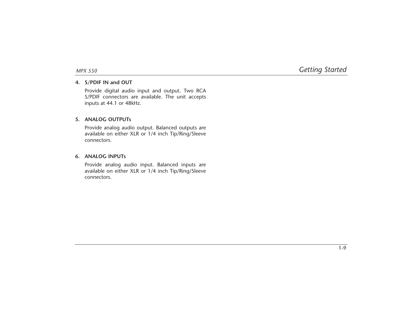#### **4. S/PDIF IN and OUT**

Provide digital audio input and output. Two RCA S/PDIF connectors are available. The unit accepts inputs at 44.1 or 48kHz.

#### **5. ANALOG OUTPUTs**

Provide analog audio output. Balanced outputs are available on either XLR or 1/4 inch Tip/Ring/Sleeve connectors.

#### **6. ANALOG INPUTs**

Provide analog audio input. Balanced inputs are available on either XLR or 1/4 inch Tip/Ring/Sleeve connectors.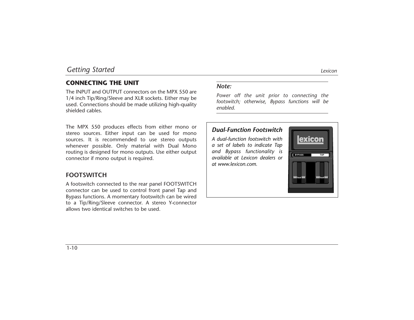#### **CONNECTING THE UNIT**

The INPUT and OUTPUT connectors on the MPX 550 are 1/4 inch Tip/Ring/Sleeve and XLR sockets. Either may be used. Connections should be made utilizing high-quality shielded cables.

The MPX 550 produces effects from either mono or stereo sources. Either input can be used for mono sources. It is recommended to use stereo outputs whenever possible. Only material with Dual Mono routing is designed for mono outputs. Use either output connector if mono output is required.

#### **FOOTSWITCH**

A footswitch connected to the rear panel FOOTSWITCH connector can be used to control front panel Tap and Bypass functions. A momentary footswitch can be wired to a Tip/Ring/Sleeve connector. A stereo Y-connector allows two identical switches to be used.

#### *Note:*

*Power off the unit prior to connecting the footswitch; otherwise, Bypass functions will be enabled.*

#### *Dual-Function Footswitch*

*A dual-function footswitch with a set of labels to indicate Tap and Bypass functionality is available at Lexicon dealers or at www.lexicon.com.*

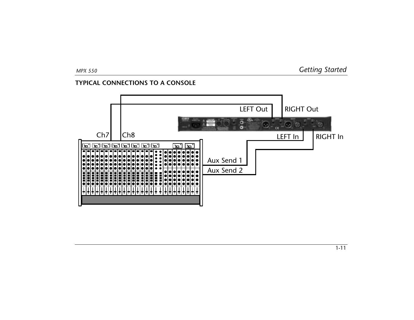#### **TYPICAL CONNECTIONS TO A CONSOLE**

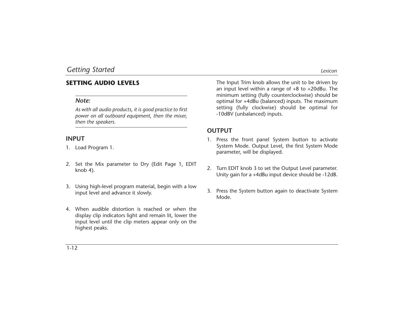#### **SETTING AUDIO LEVELS**

#### *Note:*

*As with all audio products, it is good practice to first power on all outboard equipment, then the mixer, then the speakers.*

#### **INPUT**

- 1. Load Program 1.
- 2. Set the Mix parameter to Dry (Edit Page 1, EDIT knob 4).
- 3. Using high-level program material, begin with a low input level and advance it slowly.
- 4. When audible distortion is reached or when the display clip indicators light and remain lit, lower the input level until the clip meters appear only on the highest peaks.

The Input Trim knob allows the unit to be driven by an input level within a range of +8 to +20dBu. The minimum setting (fully counterclockwise) should be optimal for +4dBu (balanced) inputs. The maximum setting (fully clockwise) should be optimal for -10dBV (unbalanced) inputs.

#### **OUTPUT**

- 1. Press the front panel System button to activate System Mode. Output Level, the first System Mode parameter, will be displayed.
- 2. Turn EDIT knob 3 to set the Output Level parameter. Unity gain for a +4dBu input device should be -12dB.
- 3. Press the System button again to deactivate System Mode.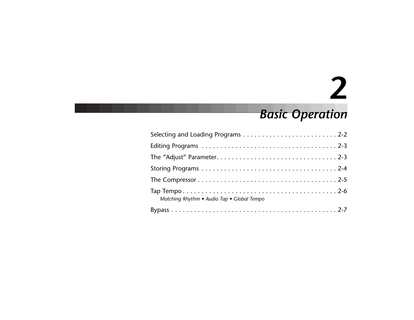# **2**

## *Basic Operation*

| Matching Rhythm • Audio Tap • Global Tempo |
|--------------------------------------------|
|                                            |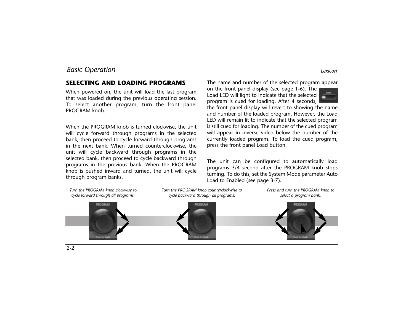*Turn the PROGRAM knob clockwise to*

#### **SELECTING AND LOADING PROGRAMS**

When powered on, the unit will load the last program that was loaded during the previous operating session. To select another program, turn the front panel PROGRAM knob.

When the PROGRAM knob is turned clockwise, the unit will cycle forward through programs in the selected bank, then proceed to cycle forward through programs in the next bank. When turned counterclockwise, the unit will cycle backward through programs in the selected bank, then proceed to cycle backward through programs in the previous bank. When the PROGRAM knob is pushed inward and turned, the unit will cycle through program banks.

The name and number of the selected program appear

on the front panel display (see page 1-6). The Load LED will light to indicate that the selected program is cued for loading. After 4 seconds,



the front panel display will revert to showing the name and number of the loaded program. However, the Load LED will remain lit to indicate that the selected program is still cued for loading. The number of the cued program will appear in inverse video below the number of the currently loaded program. To load the cued program, press the front panel Load button.

The unit can be configured to automatically load programs 3/4 second after the PROGRAM knob stops turning. To do this, set the System Mode parameter Auto Load to Enabled (see page 3-7).

*Press and turn the PROGRAM knob to*



*Turn the PROGRAM knob counterclockwise to*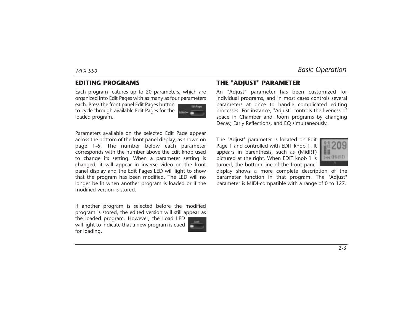#### **EDITING PROGRAMS**

Each program features up to 20 parameters, which are organized into Edit Pages with as many as four parameters

each. Press the front panel Edit Pages button to cycle through available Edit Pages for the loaded program.

Parameters available on the selected Edit Page appear across the bottom of the front panel display, as shown on page 1-6. The number below each parameter corresponds with the number above the Edit knob used to change its setting. When a parameter setting is changed, it will appear in inverse video on the front panel display and the Edit Pages LED will light to show that the program has been modified. The LED will no longer be lit when another program is loaded or if the modified version is stored.

If another program is selected before the modified program is stored, the edited version will still appear as

the loaded program. However, the Load LED will light to indicate that a new program is cued for loading.



**Litt From:** 

individual programs, and in most cases controls several parameters at once to handle complicated editing processes. For instance, "Adjust" controls the liveness of space in Chamber and Room programs by changing Decay, Early Reflections, and EQ simultaneously.

The "Adjust" parameter is located on Edit Page 1 and controlled with EDIT knob 1. It appears in parenthesis, such as (MidRT) pictured at the right. When EDIT knob 1 is turned, the bottom line of the front panel



display shows a more complete description of the parameter function in that program. The "Adjust" parameter is MIDI-compatible with a range of 0 to 127.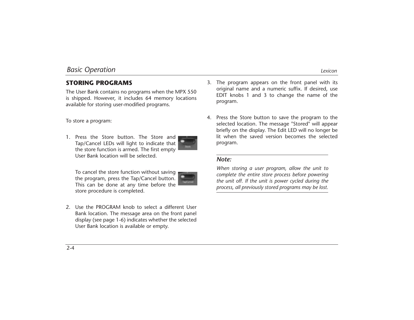#### **STORING PROGRAMS**

The User Bank contains no programs when the MPX 550 is shipped. However, it includes 64 memory locations available for storing user-modified programs.

To store a program:

1. Press the Store button. The Store and Tap/Cancel LEDs will light to indicate that the store function is armed. The first empty User Bank location will be selected.



To cancel the store function without saving the program, press the Tap/Cancel button. This can be done at any time before the store procedure is completed.



2. Use the PROGRAM knob to select a different User Bank location. The message area on the front panel display (see page 1-6) indicates whether the selected User Bank location is available or empty.

- 3. The program appears on the front panel with its original name and a numeric suffix. If desired, use EDIT knobs 1 and 3 to change the name of the program.
- 4. Press the Store button to save the program to the selected location. The message "Stored" will appear briefly on the display. The Edit LED will no longer be lit when the saved version becomes the selected program.

#### *Note:*

*When storing a user program, allow the unit to complete the entire store process before powering the unit off. If the unit is power cycled during the process, all previously stored programs may be lost.*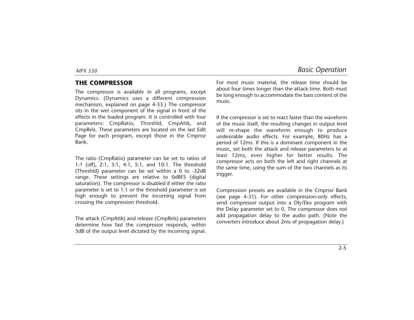#### **THE COMPRESSOR**

The compressor is available in all programs, except Dynamics. (Dynamics uses a different compression mechanism, explained on page 4-33.) The compressor sits in the wet component of the signal in front of the effects in the loaded program. It is controlled with four parameters: CmpRatio, Threshld, CmpAttk, and CmpRels. These parameters are located on the last Edit Page for each program, except those in the Cmprssr Bank.

The ratio (CmpRatio) parameter can be set to ratios of 1:1 (off), 2:1, 3:1, 4:1, 5:1, and 10:1. The threshold (Threshld) parameter can be set within a 0 to -32dB range. These settings are relative to 0dBFS (digital saturation). The compressor is disabled if either the ratio parameter is set to 1:1 or the threshold parameter is set high enough to prevent the incoming signal from crossing the compression threshold.

The attack (CmpAttk) and release (CmpRels) parameters determine how fast the compressor responds, within 3dB of the output level dictated by the incoming signal. For most music material, the release time should be about four times longer than the attack time. Both must be long enough to accommodate the bass content of the music.

If the compressor is set to react faster than the waveform of the music itself, the resulting changes in output level will re-shape the waveform enough to produce undesirable audio effects. For example, 80Hz has a period of 12ms. If this is a dominant component in the music, set both the attack and release parameters to at least 12ms, even higher for better results. The compressor acts on both the left and right channels at the same time, using the sum of the two channels as its trigger.

Compression presets are available in the Cmprssr Bank (see page 4-31). For other compression-only effects, send compressor output into a Dly/Eko program with the Delay parameter set to 0. The compressor does not add propagation delay to the audio path. (Note the converters introduce about 2ms of propagation delay.)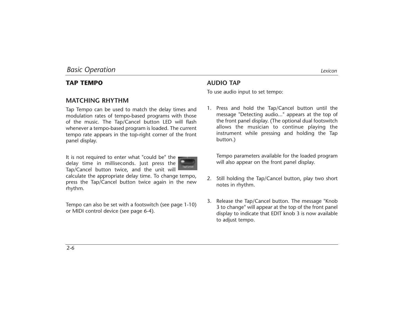#### **TAP TEMPO**

#### **MATCHING RHYTHM**

Tap Tempo can be used to match the delay times and modulation rates of tempo-based programs with those of the music. The Tap/Cancel button LED will flash whenever a tempo-based program is loaded. The current tempo rate appears in the top-right corner of the front panel display.

It is not required to enter what "could be" the delay time in milliseconds. Just press the Tap/Cancel button twice, and the unit will

calculate the appropriate delay time. To change tempo, press the Tap/Cancel button twice again in the new rhythm.

Tempo can also be set with a footswitch (see page 1-10) or MIDI control device (see page 6-4).

#### **AUDIO TAP**

To use audio input to set tempo:

1. Press and hold the Tap/Cancel button until the message "Detecting audio..." appears at the top of the front panel display. (The optional dual footswitch allows the musician to continue playing the instrument while pressing and holding the Tap button.)

Tempo parameters available for the loaded program will also appear on the front panel display.

- 2. Still holding the Tap/Cancel button, play two short notes in rhythm.
- 3. Release the Tap/Cancel button. The message "Knob 3 to change" will appear at the top of the front panel display to indicate that EDIT knob 3 is now available to adjust tempo.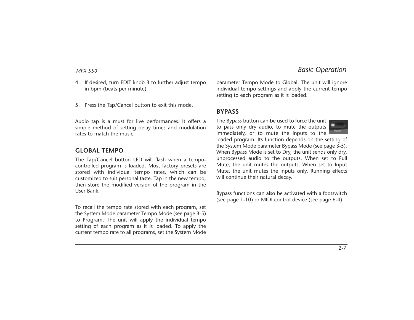*MPX 550 Basic Operation*

- 4. If desired, turn EDIT knob 3 to further adjust tempo in bpm (beats per minute).
- 5. Press the Tap/Cancel button to exit this mode.

Audio tap is a must for live performances. It offers a simple method of setting delay times and modulation rates to match the music.

#### **GLOBAL TEMPO**

The Tap/Cancel button LED will flash when a tempocontrolled program is loaded. Most factory presets are stored with individual tempo rates, which can be customized to suit personal taste. Tap in the new tempo, then store the modified version of the program in the User Bank.

To recall the tempo rate stored with each program, set the System Mode parameter Tempo Mode (see page 3-5) to Program. The unit will apply the individual tempo setting of each program as it is loaded. To apply the current tempo rate to all programs, set the System Mode parameter Tempo Mode to Global. The unit will ignore individual tempo settings and apply the current tempo setting to each program as it is loaded.

#### **BYPASS**

The Bypass button can be used to force the unit to pass only dry audio, to mute the outputs immediately, or to mute the inputs to the



loaded program. Its function depends on the setting of the System Mode parameter Bypass Mode (see page 3-5). When Bypass Mode is set to Dry, the unit sends only dry, unprocessed audio to the outputs. When set to Full Mute, the unit mutes the outputs. When set to Input Mute, the unit mutes the inputs only. Running effects will continue their natural decay.

Bypass functions can also be activated with a footswitch (see page 1-10) or MIDI control device (see page 6-4).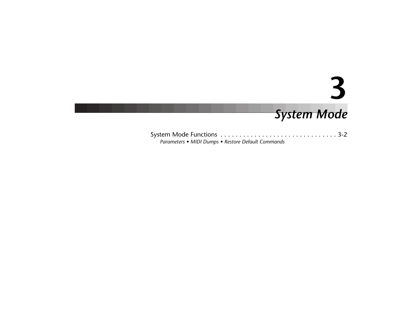*System Mode* **3**

System Mode Functions . . . . . . . . . . . . . . . . . . . . . . . . . . . . . . . 3-2 *Parameters • MIDI Dumps • Restore Default Commands*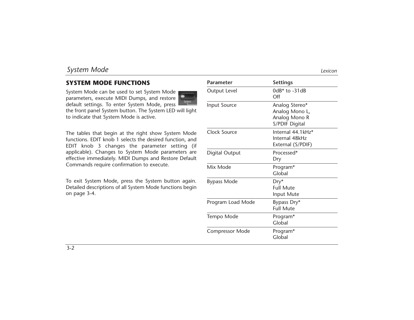# **SYSTEM MODE FUNCTIONS**

System Mode can be used to set System Mode parameters, execute MIDI Dumps, and restore

default settings. To enter System Mode, press the front panel System button. The System LED will light to indicate that System Mode is active.

The tables that begin at the right show System Mode functions. EDIT knob 1 selects the desired function, and EDIT knob 3 changes the parameter setting (if applicable). Changes to System Mode parameters are effective immediately. MIDI Dumps and Restore Default Commands require confirmation to execute.

To exit System Mode, press the System button again. Detailed descriptions of all System Mode functions begin on page 3-4.

| Parameter              | <b>Settings</b>                                                     |
|------------------------|---------------------------------------------------------------------|
| Output Level           | $0dB*$ to $-31dB$<br>$\bigcirc$ ff                                  |
| Input Source           | Analog Stereo*<br>Analog Mono L,<br>Analog Mono R<br>S/PDIF Digital |
| Clock Source           | Internal 44.1kHz*<br>Internal 48kHz<br>External (S/PDIF)            |
| Digital Output         | Processed*<br>Dry                                                   |
| Mix Mode               | Program*<br>Global                                                  |
| <b>Bypass Mode</b>     | $Dry*$<br><b>Full Mute</b><br>Input Mute                            |
| Program Load Mode      | Bypass Dry*<br><b>Full Mute</b>                                     |
| Tempo Mode             | Program*<br>Global                                                  |
| <b>Compressor Mode</b> | Program*<br>Global                                                  |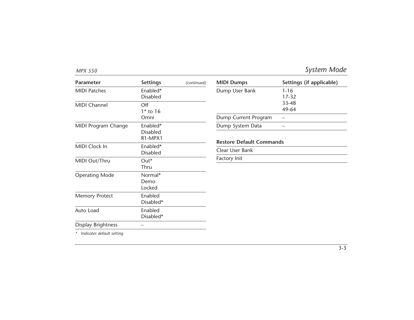| <b>Parameter</b>      | <b>Settings</b>                                                 | (continued) | <b>MIDI Dumps</b>                                   | Settings (if applicable) |
|-----------------------|-----------------------------------------------------------------|-------------|-----------------------------------------------------|--------------------------|
| <b>MIDI Patches</b>   | Enabled*<br><b>Disabled</b>                                     |             | Dump User Bank                                      | $1 - 16$<br>$17 - 32$    |
| MIDI Channel          | Off<br>$1*$ to 16                                               |             |                                                     | 33-48<br>49-64           |
|                       | Omni                                                            |             | Dump Current Program                                |                          |
| MIDI Program Change   | Enabled*<br><b>Disabled</b><br>R <sub>1</sub> -MPX <sub>1</sub> |             | Dump System Data<br><b>Restore Default Commands</b> |                          |
| MIDI Clock In         | Enabled*<br><b>Disabled</b>                                     |             | Clear User Bank                                     |                          |
| MIDI Out/Thru         | Out*<br>Thru                                                    |             | Factory Init                                        |                          |
| <b>Operating Mode</b> | Normal*<br>Demo<br>Locked                                       |             |                                                     |                          |
| <b>Memory Protect</b> | Enabled<br>Disabled*                                            |             |                                                     |                          |
| Auto Load             | Enabled<br>Disabled*                                            |             |                                                     |                          |
| Display Brightness    |                                                                 |             |                                                     |                          |

*\* Indicates default setting*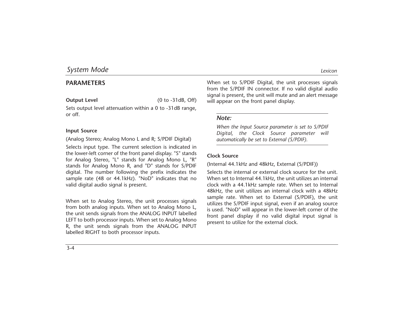# **PARAMETERS**

**Output Level** (0 to -31dB, Off)

Sets output level attenuation within a 0 to -31dB range, or off.

### **Input Source**

(Analog Stereo; Analog Mono L and R; S/PDIF Digital)

Selects input type. The current selection is indicated in the lower-left corner of the front panel display. "S" stands for Analog Stereo, "L" stands for Analog Mono L, "R" stands for Analog Mono R, and "D" stands for S/PDIF digital. The number following the prefix indicates the sample rate (48 or 44.1kHz). "NoD" indicates that no valid digital audio signal is present.

When set to Analog Stereo, the unit processes signals from both analog inputs. When set to Analog Mono L, the unit sends signals from the ANALOG INPUT labelled LEFT to both processor inputs. When set to Analog Mono R, the unit sends signals from the ANALOG INPUT labelled RIGHT to both processor inputs.

When set to S/PDIF Digital, the unit processes signals from the S/PDIF IN connector. If no valid digital audio signal is present, the unit will mute and an alert message will appear on the front panel display.

### *Note:*

*When the Input Source parameter is set to S/PDIF Digital, the Clock Source parameter will automatically be set to External (S/PDIF).*

#### **Clock Source**

(Internal 44.1kHz and 48kHz, External (S/PDIF))

Selects the internal or external clock source for the unit. When set to Internal 44.1kHz, the unit utilizes an internal clock with a 44.1kHz sample rate. When set to Internal 48kHz, the unit utilizes an internal clock with a 48kHz sample rate. When set to External (S/PDIF), the unit utilizes the S/PDIF input signal, even if an analog source is used. "NoD" will appear in the lower-left corner of the front panel display if no valid digital input signal is present to utilize for the external clock.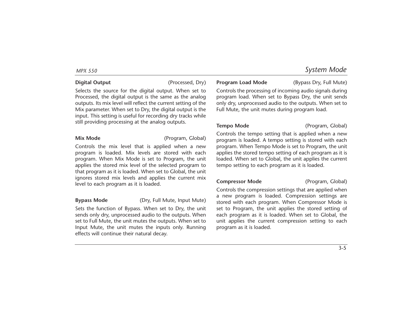### **Digital Output** (Processed, Dry)

Selects the source for the digital output. When set to Processed, the digital output is the same as the analog outputs. Its mix level will reflect the current setting of the Mix parameter. When set to Dry, the digital output is the input. This setting is useful for recording dry tracks while still providing processing at the analog outputs.

**Mix Mode** (Program, Global)

Controls the mix level that is applied when a new program is loaded. Mix levels are stored with each program. When Mix Mode is set to Program, the unit applies the stored mix level of the selected program to that program as it is loaded. When set to Global, the unit ignores stored mix levels and applies the current mix level to each program as it is loaded.

**Bypass Mode** (Dry, Full Mute, Input Mute)

Sets the function of Bypass. When set to Dry, the unit sends only dry, unprocessed audio to the outputs. When set to Full Mute, the unit mutes the outputs. When set to Input Mute, the unit mutes the inputs only. Running effects will continue their natural decay.

### **Program Load Mode** (Bypass Dry, Full Mute)

Controls the processing of incoming audio signals during program load. When set to Bypass Dry, the unit sends only dry, unprocessed audio to the outputs. When set to Full Mute, the unit mutes during program load.

**Tempo Mode** (Program, Global)

Controls the tempo setting that is applied when a new program is loaded. A tempo setting is stored with each program. When Tempo Mode is set to Program, the unit applies the stored tempo setting of each program as it is loaded. When set to Global, the unit applies the current tempo setting to each program as it is loaded.

#### **Compressor Mode** (Program, Global)

Controls the compression settings that are applied when a new program is loaded. Compression settings are stored with each program. When Compressor Mode is set to Program, the unit applies the stored setting of each program as it is loaded. When set to Global, the unit applies the current compression setting to each program as it is loaded.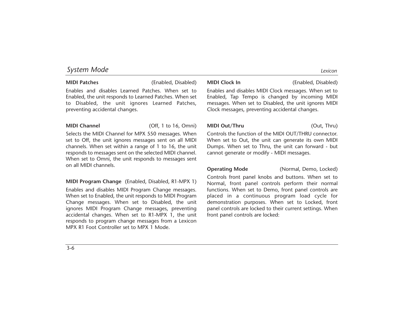**MIDI Patches** (Enabled, Disabled)

Enables and disables Learned Patches. When set to Enabled, the unit responds to Learned Patches. When set to Disabled, the unit ignores Learned Patches, preventing accidental changes.

**MIDI Channel** (Off, 1 to 16, Omni)

Selects the MIDI Channel for MPX 550 messages. When set to Off, the unit ignores messages sent on all MIDI channels. When set within a range of 1 to 16, the unit responds to messages sent on the selected MIDI channel. When set to Omni, the unit responds to messages sent on all MIDI channels.

**MIDI Program Change** (Enabled, Disabled, R1-MPX 1)

Enables and disables MIDI Program Change messages. When set to Enabled, the unit responds to MIDI Program Change messages. When set to Disabled, the unit ignores MIDI Program Change messages, preventing accidental changes. When set to R1-MPX 1, the unit responds to program change messages from a Lexicon MPX R1 Foot Controller set to MPX 1 Mode.

Enables and disables MIDI Clock messages. When set to Enabled, Tap Tempo is changed by incoming MIDI messages. When set to Disabled, the unit ignores MIDI Clock messages, preventing accidental changes.

#### **MIDI Out/Thru** (Out, Thru)

Controls the function of the MIDI OUT/THRU connector. When set to Out, the unit can generate its own MIDI Dumps. When set to Thru, the unit can forward - but cannot generate or modify - MIDI messages.

**Operating Mode** (Normal, Demo, Locked)

Controls front panel knobs and buttons. When set to Normal, front panel controls perform their normal functions. When set to Demo, front panel controls are placed in a continuous program load cycle for demonstration purposes. When set to Locked, front panel controls are locked to their current settings. When front panel controls are locked: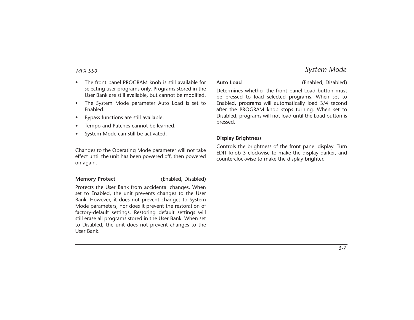- • The front panel PROGRAM knob is still available for selecting user programs only. Programs stored in the User Bank are still available, but cannot be modified.
- • The System Mode parameter Auto Load is set to Enabled.
- •Bypass functions are still available.
- •Tempo and Patches cannot be learned.
- •System Mode can still be activated.

Changes to the Operating Mode parameter will not take effect until the unit has been powered off, then powered on again.

**Memory Protect** (Enabled, Disabled)

Protects the User Bank from accidental changes. When set to Enabled, the unit prevents changes to the User Bank. However, it does not prevent changes to System Mode parameters, nor does it prevent the restoration of factory-default settings. Restoring default settings will still erase all programs stored in the User Bank. When set to Disabled, the unit does not prevent changes to the User Bank.

**Auto Load** (Enabled, Disabled)

Determines whether the front panel Load button must be pressed to load selected programs. When set to Enabled, programs will automatically load 3/4 second after the PROGRAM knob stops turning. When set to Disabled, programs will not load until the Load button is pressed.

### **Display Brightness**

Controls the brightness of the front panel display. Turn EDIT knob 3 clockwise to make the display darker, and counterclockwise to make the display brighter.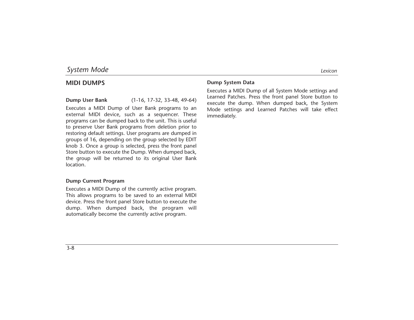## **MIDI DUMPS**

**Dump User Bank** (1-16, 17-32, 33-48, 49-64)

Executes a MIDI Dump of User Bank programs to an external MIDI device, such as a sequencer. These programs can be dumped back to the unit. This is useful to preserve User Bank programs from deletion prior to restoring default settings. User programs are dumped in groups of 16, depending on the group selected by EDIT knob 3. Once a group is selected, press the front panel Store button to execute the Dump. When dumped back, the group will be returned to its original User Bank location.

#### **Dump Current Program**

Executes a MIDI Dump of the currently active program. This allows programs to be saved to an external MIDI device. Press the front panel Store button to execute the dump. When dumped back, the program will automatically become the currently active program.

### **Dump System Data**

Executes a MIDI Dump of all System Mode settings and Learned Patches. Press the front panel Store button to execute the dump. When dumped back, the System Mode settings and Learned Patches will take effect immediately.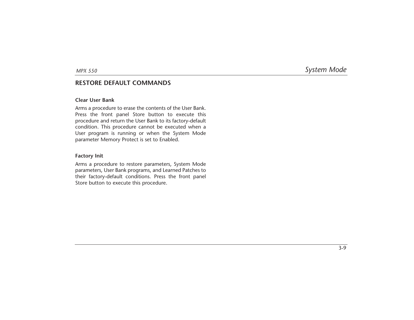### **RESTORE DEFAULT COMMANDS**

#### **Clear User Bank**

Arms a procedure to erase the contents of the User Bank. Press the front panel Store button to execute this procedure and return the User Bank to its factory-default condition. This procedure cannot be executed when a User program is running or when the System Mode parameter Memory Protect is set to Enabled.

#### **Factory Init**

Arms a procedure to restore parameters, System Mode parameters, User Bank programs, and Learned Patches to their factory-default conditions. Press the front panel Store button to execute this procedure.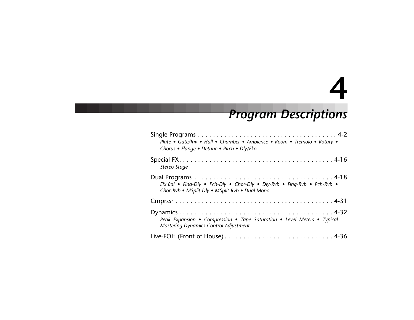# **4**

# *Program Descriptions*

| Plate . Gate/Inv . Hall . Chamber . Ambience . Room . Tremolo . Rotary .<br>Chorus • Flange • Detune • Pitch • Dly/Eko     |
|----------------------------------------------------------------------------------------------------------------------------|
| Stereo Stage                                                                                                               |
| Efx Bal . Flng-Dly . Pch-Dly . Chor-Dly . Dly-Rvb . Flng-Rvb . Pch-Rvb .<br>Chor-Rvb . MSplit Dly . MSplit Rvb . Dual Mono |
|                                                                                                                            |
| Peak Expansion • Compression • Tape Saturation • Level Meters • Typical<br>Mastering Dynamics Control Adjustment           |
|                                                                                                                            |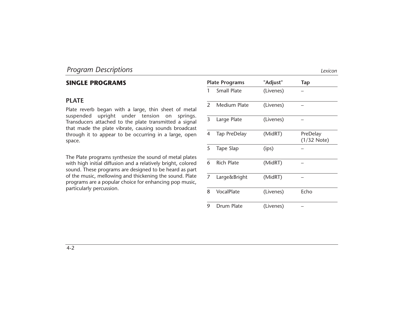# **SINGLE PROGRAMS**

# **PLATE**

Plate reverb began with a large, thin sheet of metal suspended upright under tension on springs. Transducers attached to the plate transmitted a signal that made the plate vibrate, causing sounds broadcast through it to appear to be occurring in a large, open space.

The Plate programs synthesize the sound of metal plates with high initial diffusion and a relatively bright, colored sound. These programs are designed to be heard as part of the music, mellowing and thickening the sound. Plate programs are a popular choice for enhancing pop music, particularly percussion.

| <b>Plate Programs</b> |                    | "Adjust"  | Tap                       |
|-----------------------|--------------------|-----------|---------------------------|
| 1                     | <b>Small Plate</b> | (Livenes) |                           |
| $\mathcal{P}$         | Medium Plate       | (Livenes) |                           |
| 3                     | Large Plate        | (Livenes) |                           |
| 4                     | Tap PreDelay       | (MidRT)   | PreDelay<br>$(1/32$ Note) |
| 5                     | Tape Slap          | (ips)     |                           |
| 6                     | <b>Rich Plate</b>  | (MidRT)   |                           |
| 7                     | Large&Bright       | (MidRT)   |                           |
| 8                     | VocalPlate         | (Livenes) | Echo                      |
| 9                     | Drum Plate         | (Livenes) |                           |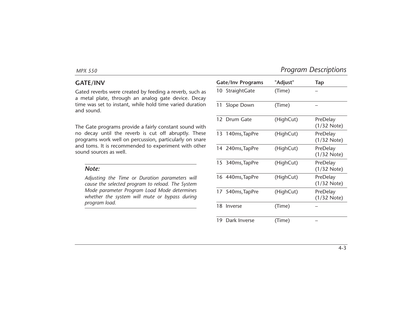## **GATE/INV**

Gated reverbs were created by feeding a reverb, such as a metal plate, through an analog gate device. Decay time was set to instant, while hold time varied duration and sound.

The Gate programs provide a fairly constant sound with no decay until the reverb is cut off abruptly. These programs work well on percussion, particularly on snare and toms. It is recommended to experiment with other sound sources as well.

#### *Note:*

*Adjusting the Time or Duration parameters will cause the selected program to reload. The System Mode parameter Program Load Mode determines whether the system will mute or bypass during program load.*

|    | <b>Gate/Inv Programs</b> | "Adjust"  | <b>Tap</b>                |
|----|--------------------------|-----------|---------------------------|
|    | 10 StraightGate          | (Time)    |                           |
| 11 | Slope Down               | (Time)    |                           |
|    | 12 Drum Gate             | (HighCut) | PreDelay<br>$(1/32$ Note) |
|    | 13 140ms, TapPre         | (HighCut) | PreDelay<br>$(1/32$ Note) |
|    | 14 240ms, TapPre         | (HighCut) | PreDelay<br>$(1/32$ Note) |
|    | 15 340ms, TapPre         | (HighCut) | PreDelay<br>$(1/32$ Note) |
|    | 16 440ms, TapPre         | (HighCut) | PreDelay<br>$(1/32$ Note) |
|    | 17 540ms, TapPre         | (HighCut) | PreDelay<br>(1/32 Note)   |
|    | 18 Inverse               | (Time)    |                           |
| 19 | Dark Inverse             | (Time)    |                           |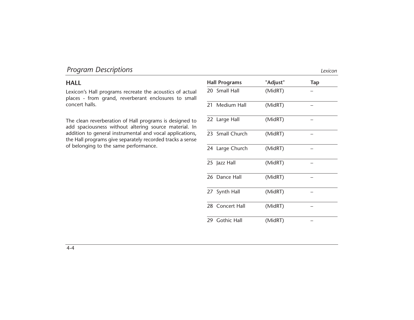# **HALL**

Lexicon's Hall programs recreate the acoustics of actual places - from grand, reverberant enclosures to small concert halls.

The clean reverberation of Hall programs is designed to add spaciousness without altering source material. In addition to general instrumental and vocal applications, the Hall programs give separately recorded tracks a sense of belonging to the same performance.

| <b>Hall Programs</b> | "Adjust" | <b>Tap</b> |
|----------------------|----------|------------|
| 20 Small Hall        | (MidRT)  |            |
| 21 Medium Hall       | (MidRT)  |            |
| 22 Large Hall        | (MidRT)  |            |
| 23 Small Church      | (MidRT)  |            |
| 24 Large Church      | (MidRT)  |            |
| 25 Jazz Hall         | (MidRT)  |            |
| 26 Dance Hall        | (MidRT)  |            |
| 27 Synth Hall        | (MidRT)  |            |
| 28 Concert Hall      | (MidRT)  |            |
| 29 Gothic Hall       | (MidRT)  |            |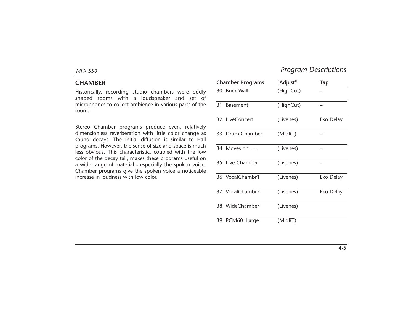### **CHAMBER**

Historically, recording studio chambers were oddly shaped rooms with a loudspeaker and set of microphones to collect ambience in various parts of the room.

Stereo Chamber programs produce even, relatively dimensionless reverberation with little color change as sound decays. The initial diffusion is similar to Hall programs. However, the sense of size and space is much less obvious. This characteristic, coupled with the low color of the decay tail, makes these programs useful on a wide range of material - especially the spoken voice. Chamber programs give the spoken voice a noticeable increase in loudness with low color.

|    | <b>Chamber Programs</b> | "Adjust"  | Tap       |
|----|-------------------------|-----------|-----------|
|    | 30 Brick Wall           | (HighCut) |           |
|    | 31 Basement             | (HighCut) |           |
|    | 32 LiveConcert          | (Livenes) | Eko Delay |
|    | 33 Drum Chamber         | (MidRT)   |           |
|    | 34 Moves on             | (Livenes) |           |
|    | 35 Live Chamber         | (Livenes) |           |
|    | 36 VocalChambr1         | (Livenes) | Eko Delay |
|    | 37 VocalChambr2         | (Livenes) | Eko Delay |
|    | 38 WideChamber          | (Livenes) |           |
| 39 | PCM60: Large            | (MidRT)   |           |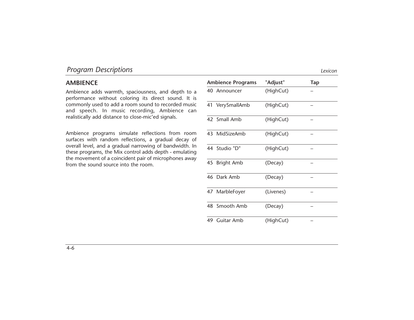# **AMBIENCE**

Ambience adds warmth, spaciousness, and depth to a performance without coloring its direct sound. It is commonly used to add a room sound to recorded music and speech. In music recording, Ambience can realistically add distance to close-mic'ed signals.

Ambience programs simulate reflections from room surfaces with random reflections, a gradual decay of overall level, and a gradual narrowing of bandwidth. In these programs, the Mix control adds depth - emulating the movement of a coincident pair of microphones away from the sound source into the room.

| <b>Ambience Programs</b> | "Adjust"  | Tap |
|--------------------------|-----------|-----|
| 40 Announcer             | (HighCut) |     |
| 41 VerySmallAmb          | (HighCut) |     |
| 42 Small Amb             | (HighCut) |     |
| 43 MidSizeAmb            | (HighCut) |     |
| 44 Studio "D"            | (HighCut) |     |
| 45 Bright Amb            | (Decay)   |     |
| 46 Dark Amb              | (Decay)   |     |
| 47 MarbleFoyer           | (Livenes) |     |
| 48 Smooth Amb            | (Decay)   |     |
| 49 Guitar Amb            | (HighCut) |     |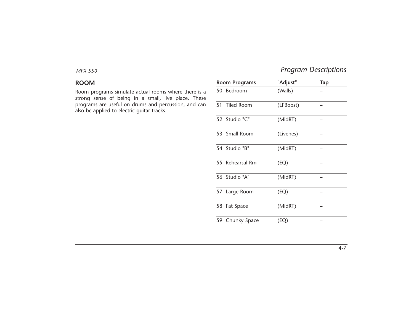# **ROOM**

Room programs simulate actual rooms where there is a strong sense of being in a small, live place. These programs are useful on drums and percussion, and can also be applied to electric guitar tracks.

| <b>Room Programs</b> | "Adjust"  | <b>Tap</b> |
|----------------------|-----------|------------|
| 50 Bedroom           | (Walls)   |            |
| 51 Tiled Room        | (LFBoost) |            |
| 52 Studio "C"        | (MidRT)   |            |
| 53 Small Room        | (Livenes) |            |
| 54 Studio "B"        | (MidRT)   |            |
| 55 Rehearsal Rm      | (EQ)      |            |
| 56 Studio "A"        | (MidRT)   |            |
| 57 Large Room        | (EQ)      |            |
| 58 Fat Space         | (MidRT)   |            |
| 59 Chunky Space      | (EQ)      |            |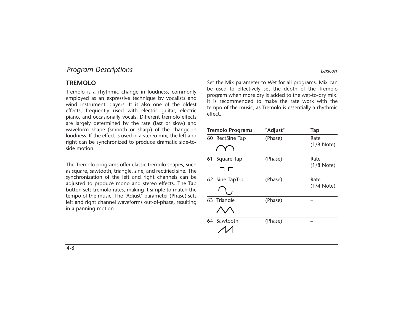# **TREMOLO**

Tremolo is a rhythmic change in loudness, commonly employed as an expressive technique by vocalists and wind instrument players. It is also one of the oldest effects, frequently used with electric guitar, electric piano, and occasionally vocals. Different tremolo effects are largely determined by the rate (fast or slow) and waveform shape (smooth or sharp) of the change in loudness. If the effect is used in a stereo mix, the left and right can be synchronized to produce dramatic side-toside motion.

The Tremolo programs offer classic tremolo shapes, such as square, sawtooth, triangle, sine, and rectified sine. The synchronization of the left and right channels can be adjusted to produce mono and stereo effects. The Tap button sets tremolo rates, making it simple to match the tempo of the music. The "Adjust" parameter (Phase) sets left and right channel waveforms out-of-phase, resulting in a panning motion.

Set the Mix parameter to Wet for all programs. Mix can be used to effectively set the depth of the Tremolo program when more dry is added to the wet-to-dry mix. It is recommended to make the rate work with the tempo of the music, as Tremolo is essentially a rhythmic effect.

| <b>Tremolo Programs</b> |                 | "Adjust" | <b>Tap</b>   |
|-------------------------|-----------------|----------|--------------|
|                         | 60 RectSine Tap | (Phase)  | Rate         |
|                         |                 |          | $(1/8$ Note) |
| 61                      | Square Tap      | (Phase)  | Rate         |
|                         |                 |          | $(1/8$ Note) |
|                         | 62 Sine TapTrpl | (Phase)  | Rate         |
|                         |                 |          | $(1/4$ Note) |
|                         | 63 Triangle     | (Phase)  |              |
|                         |                 |          |              |
|                         | 64 Sawtooth     | (Phase)  |              |
|                         |                 |          |              |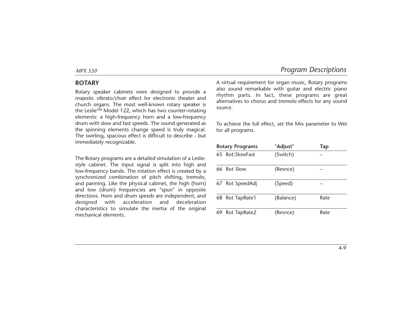# **ROTARY**

Rotary speaker cabinets were designed to provide a majestic vibrato/choir effect for electronic theater and church organs. The most well-known rotary speaker is the Leslie™ Model 122, which has two counter-rotating elements: a high-frequency horn and a low-frequency drum with slow and fast speeds. The sound generated as the spinning elements change speed is truly magical. The swirling, spacious effect is difficult to describe - but immediately recognizable.

The Rotary programs are a detailed simulation of a Lesliestyle cabinet. The input signal is split into high and low-frequency bands. The rotation effect is created by a synchronized combination of pitch shifting, tremolo, and panning. Like the physical cabinet, the high (horn) and low (drum) frequencies are "spun" in opposite directions. Horn and drum speeds are independent, and designed with acceleration and deceleration characteristics to simulate the inertia of the original mechanical elements.

A virtual requirement for organ music, Rotary programs also sound remarkable with guitar and electric piano rhythm parts. In fact, these programs are great alternatives to chorus and tremolo effects for any sound source.

To achieve the full effect, set the Mix parameter to Wet for all programs.

| <b>Rotary Programs</b> |                 | "Adjust"  | Tap  |
|------------------------|-----------------|-----------|------|
|                        | 65 Rot:SlowFast | (Switch)  |      |
|                        | 66 Rot Slow     | (Resnce)  |      |
| 67                     | Rot SpeedAdj    | (Speed)   |      |
|                        | 68 Rot TapRate1 | (Balance) | Rate |
| 69                     | Rot TapRate2    | (Resnce)  | Rate |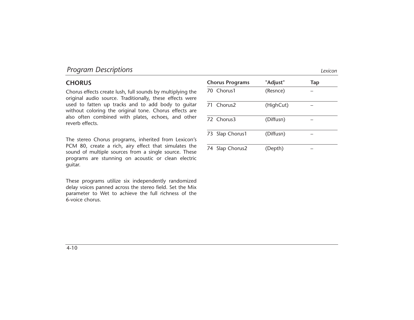# **CHORUS**

Chorus effects create lush, full sounds by multiplying the original audio source. Traditionally, these effects were used to fatten up tracks and to add body to guitar without coloring the original tone. Chorus effects are also often combined with plates, echoes, and other reverb effects.

The stereo Chorus programs, inherited from Lexicon's PCM 80, create a rich, airy effect that simulates the sound of multiple sources from a single source. These programs are stunning on acoustic or clean electric guitar.

These programs utilize six independently randomized delay voices panned across the stereo field. Set the Mix parameter to Wet to achieve the full richness of the 6-voice chorus.

| <b>Chorus Programs</b> |                        | "Adjust"  | Tap |
|------------------------|------------------------|-----------|-----|
|                        | 70 Chorus1             | (Resnce)  |     |
|                        | 71 Chorus <sub>2</sub> | (HighCut) |     |
|                        | 72 Chorus3             | (Diffusn) |     |
|                        | 73 Slap Chorus1        | (Diffusn) |     |
|                        | 74 Slap Chorus2        | (Depth)   |     |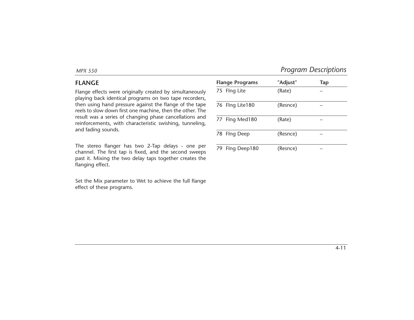# **FLANGE**

Flange effects were originally created by simultaneously playing back identical programs on two tape recorders, then using hand pressure against the flange of the tape reels to slow down first one machine, then the other. The result was a series of changing phase cancellations and reinforcements, with characteristic swishing, tunneling, and fading sounds.

The stereo flanger has two 2-Tap delays - one per channel. The first tap is fixed, and the second sweeps past it. Mixing the two delay taps together creates the flanging effect.

Set the Mix parameter to Wet to achieve the full flange effect of these programs.

|    | <b>Flange Programs</b> | "Adjust" | Tap |
|----|------------------------|----------|-----|
|    | 75 Flng Lite           | (Rate)   |     |
|    | 76 Flng Lite180        | (Resnce) |     |
|    | 77 Flng Med180         | (Rate)   |     |
|    | 78 Flng Deep           | (Resnce) |     |
| 79 | Flng Deep180           | (Resnce) |     |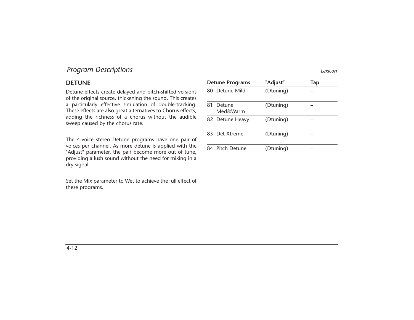# **DETUNE**

Detune effects create delayed and pitch-shifted versions of the original source, thickening the sound. This creates a particularly effective simulation of double-tracking. These effects are also great alternatives to Chorus effects, adding the richness of a chorus without the audible sweep caused by the chorus rate.

The 4-voice stereo Detune programs have one pair of voices per channel. As more detune is applied with the "Adjust" parameter, the pair become more out of tune, providing a lush sound without the need for mixing in a dry signal.

Set the Mix parameter to Wet to achieve the full effect of these programs.

| <b>Detune Programs</b> |                    | "Adjust"  | Tap |
|------------------------|--------------------|-----------|-----|
|                        | 80 Detune Mild     | (Dtuning) |     |
| 81                     | Detune<br>Med&Warm | (Dtuning) |     |
|                        | 82 Detune Heavy    | (Dtuning) |     |
|                        | 83 Det Xtreme      | (Dtuning) |     |
| 84                     | Pitch Detune       | (Dtuning) |     |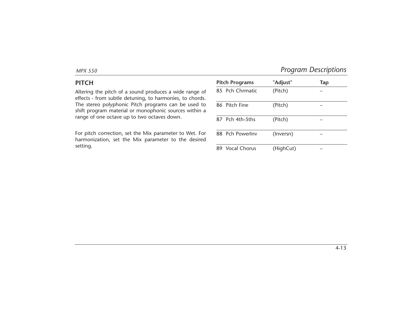# **PITCH**

Altering the pitch of a sound produces a wide range of effects - from subtle detuning, to harmonies, to chords. The stereo polyphonic Pitch programs can be used to shift program material or monophonic sources within a range of one octave up to two octaves down.

For pitch correction, set the Mix parameter to Wet. For harmonization, set the Mix parameter to the desired setting.

|    | <b>Pitch Programs</b> | "Adjust"  | Tap |
|----|-----------------------|-----------|-----|
|    | 85 Pch Chrmatic       | (Pitch)   |     |
|    | 86 Pitch Fine         | (Pitch)   |     |
|    | 87 Pch 4th-5ths       | (Pitch)   |     |
|    | 88 Pch PowerInv       | (Inversn) |     |
| 89 | Vocal Chorus          | (HighCut) |     |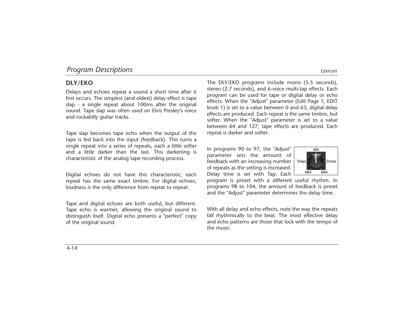# **DLY/EKO**

Delays and echoes repeat a sound a short time after it first occurs. The simplest (and oldest) delay effect is tape slap - a single repeat about 100ms after the original sound. Tape slap was often used on Elvis Presley's voice and rockabilly guitar tracks.

Tape slap becomes tape echo when the output of the tape is fed back into the input (feedback). This turns a single repeat into a series of repeats, each a little softer and a little darker than the last. This darkening is characteristic of the analog tape recording process.

Digital echoes do not have this characteristic; each repeat has the same exact timbre. For digital echoes, loudness is the only difference from repeat to repeat.

Tape and digital echoes are both useful, but different. Tape echo is warmer, allowing the original sound to distinguish itself. Digital echo presents a "perfect" copy of the original sound.

The DLY/EKO programs include mono (5.5 seconds), stereo (2.7 seconds), and 6-voice multi-tap effects. Each program can be used for tape or digital delay or echo effects. When the "Adjust" parameter (Edit Page 1, EDIT knob 1) is set to a value between 0 and 63, digital delay effects are produced. Each repeat is the same timbre, but softer. When the "Adjust" parameter is set to a value between 64 and 127, tape effects are produced. Each repeat is darker and softer.

In programs 90 to 97, the "Adjust" parameter sets the amount of feedback with an increasing number of repeats as the setting is increased. Delay time is set with Tap. Each



program is preset with a different useful rhythm. In programs 98 to 104, the amount of feedback is preset and the "Adjust" parameter determines the delay time.

With all delay and echo effects, note the way the repeats fall rhythmically to the beat. The most effective delay and echo patterns are those that lock with the tempo of the music.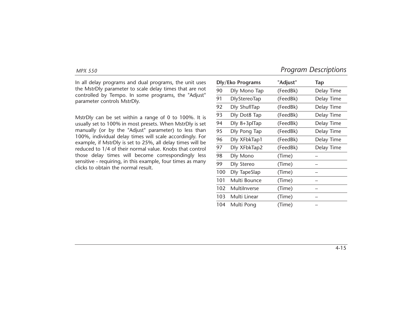In all delay programs and dual programs, the unit uses the MstrDly parameter to scale delay times that are not controlled by Tempo. In some programs, the "Adjust" parameter controls MstrDly.

MstrDly can be set within a range of 0 to 100%. It is usually set to 100% in most presets. When MstrDly is set manually (or by the "Adjust" parameter) to less than 100%, individual delay times will scale accordingly. For example, if MstrDly is set to 25%, all delay times will be reduced to 1/4 of their normal value. Knobs that control those delay times will become correspondingly less sensitive - requiring, in this example, four times as many clicks to obtain the normal result.

|     | Dly/Eko Programs    | "Adjust" | <b>Tap</b> |
|-----|---------------------|----------|------------|
| 90  | Dly Mono Tap        | (FeedBk) | Delay Time |
| 91  | <b>DlyStereoTap</b> | (FeedBk) | Delay Time |
| 92  | Dly ShuflTap        | (FeedBk) | Delay Time |
| 93  | Dly Dot8 Tap        | (FeedBk) | Delay Time |
| 94  | $Dly 8+3pTap$       | (FeedBk) | Delay Time |
| 95  | Dly Pong Tap        | (FeedBk) | Delay Time |
| 96  | Dly XFbkTap1        | (FeedBk) | Delay Time |
| 97  | Dly XFbkTap2        | (FeedBk) | Delay Time |
| 98  | Dly Mono            | (Time)   |            |
| 99  | Dly Stereo          | (Time)   |            |
| 100 | <b>Dly TapeSlap</b> | (Time)   |            |
| 101 | Multi Bounce        | (Time)   |            |
| 102 | Multilnverse        | (Time)   |            |
| 103 | Multi Linear        | (Time)   |            |
| 104 | Multi Pong          | (Time)   |            |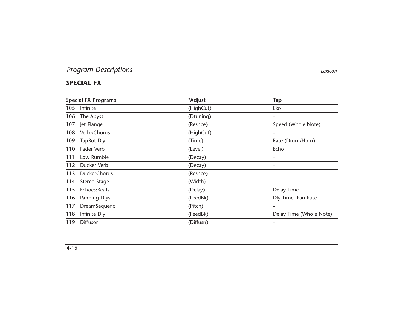# **SPECIAL FX**

|     | <b>Special FX Programs</b> | "Adjust"  | <b>Tap</b>               |
|-----|----------------------------|-----------|--------------------------|
| 105 | Infinite                   | (HighCut) | Eko                      |
| 106 | The Abyss                  | (Dtuning) | $\overline{\phantom{0}}$ |
| 107 | Jet Flange                 | (Resnce)  | Speed (Whole Note)       |
| 108 | Verb>Chorus                | (HighCut) |                          |
| 109 | <b>TapRot Dly</b>          | (Time)    | Rate (Drum/Horn)         |
| 110 | Fader Verb                 | (Level)   | Echo                     |
| 111 | Low Rumble                 | (Decay)   |                          |
| 112 | Ducker Verb                | (Decay)   | $\overline{\phantom{0}}$ |
| 113 | <b>DuckerChorus</b>        | (Resnce)  | —                        |
| 114 | Stereo Stage               | (Width)   |                          |
| 115 | Echoes: Beats              | (Delay)   | Delay Time               |
| 116 | <b>Panning Dlys</b>        | (FeedBk)  | Dly Time, Pan Rate       |
| 117 | DreamSequenc               | (Pitch)   |                          |
| 118 | Infinite Dly               | (FeedBk)  | Delay Time (Whole Note)  |
| 119 | <b>Diffusor</b>            | (Diffusn) |                          |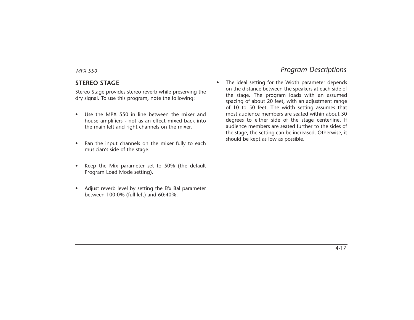# **STEREO STAGE**

Stereo Stage provides stereo reverb while preserving the dry signal. To use this program, note the following:

- • Use the MPX 550 in line between the mixer and house amplifiers - not as an effect mixed back into the main left and right channels on the mixer.
- • Pan the input channels on the mixer fully to each musician's side of the stage.
- • Keep the Mix parameter set to 50% (the default Program Load Mode setting).
- • Adjust reverb level by setting the Efx Bal parameter between 100:0% (full left) and 60:40%.

• The ideal setting for the Width parameter depends on the distance between the speakers at each side of the stage. The program loads with an assumed spacing of about 20 feet, with an adjustment range of 10 to 50 feet. The width setting assumes that most audience members are seated within about 30 degrees to either side of the stage centerline. If audience members are seated further to the sides of the stage, the setting can be increased. Otherwise, it should be kept as low as possible.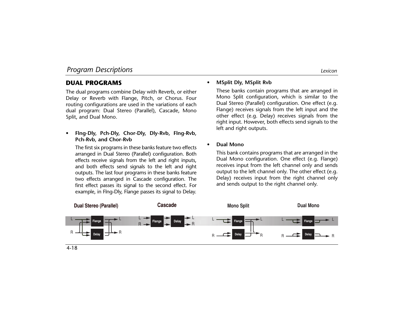# **DUAL PROGRAMS**

The dual programs combine Delay with Reverb, or either Delay or Reverb with Flange, Pitch, or Chorus. Four routing configurations are used in the variations of each dual program: Dual Stereo (Parallel), Cascade, Mono Split, and Dual Mono.

• **Flng-Dly, Pch-Dly, Chor-Dly, Dly-Rvb, Flng-Rvb, Pch-Rvb, and Chor-Rvb**

The first six programs in these banks feature two effects arranged in Dual Stereo (Parallel) configuration. Both effects receive signals from the left and right inputs, and both effects send signals to the left and right outputs. The last four programs in these banks feature two effects arranged in Cascade configuration. The first effect passes its signal to the second effect. For example, in Flng-Dly, Flange passes its signal to Delay.

#### •**MSplit Dly, MSplit Rvb**

These banks contain programs that are arranged in Mono Split configuration, which is similar to the Dual Stereo (Parallel) configuration. One effect (e.g. Flange) receives signals from the left input and the other effect (e.g. Delay) receives signals from the right input. However, both effects send signals to the left and right outputs.

•**Dual Mono**

> This bank contains programs that are arranged in the Dual Mono configuration. One effect (e.g. Flange) receives input from the left channel only and sends output to the left channel only. The other effect (e.g. Delay) receives input from the right channel only and sends output to the right channel only.

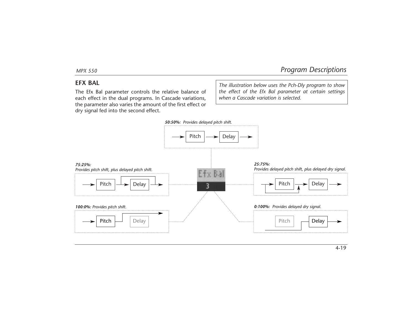# **EFX BAL**

The Efx Bal parameter controls the relative balance of each effect in the dual programs. In Cascade variations, the parameter also varies the amount of the first effect or dry signal fed into the second effect.

*The illustration below uses the Pch-Dly program to show the effect of the Efx Bal parameter at certain settings when a Cascade variation is selected.*

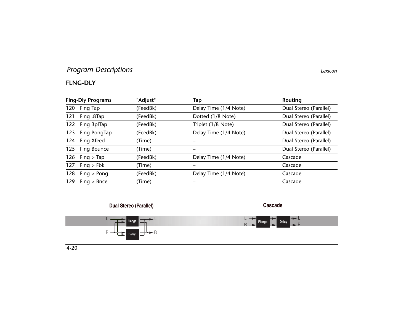|     | <b>Fing-Dly Programs</b> | "Adjust" | Tap                   | Routing                |
|-----|--------------------------|----------|-----------------------|------------------------|
| 120 | Flng Tap                 | (FeedBk) | Delay Time (1/4 Note) | Dual Stereo (Parallel) |
| 121 | Flng .8Tap               | (FeedBk) | Dotted (1/8 Note)     | Dual Stereo (Parallel) |
|     | 122 Flng 3plTap          | (FeedBk) | Triplet (1/8 Note)    | Dual Stereo (Parallel) |
|     | 123 Flng PongTap         | (FeedBk) | Delay Time (1/4 Note) | Dual Stereo (Parallel) |
|     | 124 Flng Xfeed           | (Time)   |                       | Dual Stereo (Parallel) |
|     | 125 Flng Bounce          | (Time)   |                       | Dual Stereo (Parallel) |
|     | 126 Flng $>$ Tap         | (FeedBk) | Delay Time (1/4 Note) | Cascade                |
|     | 127 Flng > Fbk           | (Time)   |                       | Cascade                |
|     | 128 Flng > Pong          | (FeedBk) | Delay Time (1/4 Note) | Cascade                |
| 129 | Flnq > Bnce              | (Time)   |                       | Cascade                |

#### **Dual Stereo (Parallel)**



**Cascade**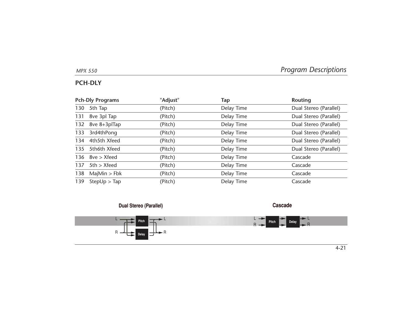**Cascade**

# **PCH-DLY**

|     | <b>Pch-Dly Programs</b> | "Adjust" | Tap        | <b>Routing</b>         |
|-----|-------------------------|----------|------------|------------------------|
| 130 | 5th Tap                 | (Pitch)  | Delay Time | Dual Stereo (Parallel) |
|     | 131 8ve 3pl Tap         | (Pitch)  | Delay Time | Dual Stereo (Parallel) |
|     | 132 8ve 8+3plTap        | (Pitch)  | Delay Time | Dual Stereo (Parallel) |
|     | 133 3rd4thPong          | (Pitch)  | Delay Time | Dual Stereo (Parallel) |
|     | 134 4th5th Xfeed        | (Pitch)  | Delay Time | Dual Stereo (Parallel) |
|     | 135 5th6th Xfeed        | (Pitch)  | Delay Time | Dual Stereo (Parallel) |
|     | 136 $8ve > Xfeed$       | (Pitch)  | Delay Time | Cascade                |
| 137 | 5th > Xfeed             | (Pitch)  | Delay Time | Cascade                |
|     | 138 MajMin > Fbk        | (Pitch)  | Delay Time | Cascade                |
| 139 | StepUp > Tap            | (Pitch)  | Delay Time | Cascade                |

### **Dual Stereo (Parallel)**

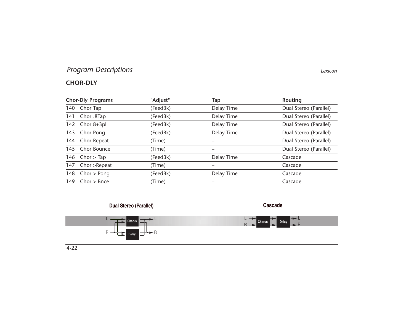# **CHOR-DLY**

|     | <b>Chor-Dly Programs</b> | "Adjust" | Tap        | Routing                |
|-----|--------------------------|----------|------------|------------------------|
|     | 140 Chor Tap             | (FeedBk) | Delay Time | Dual Stereo (Parallel) |
|     | 141 Chor .8Tap           | (FeedBk) | Delay Time | Dual Stereo (Parallel) |
|     | 142 Chor 8+3pl           | (FeedBk) | Delay Time | Dual Stereo (Parallel) |
|     | 143 Chor Pong            | (FeedBk) | Delay Time | Dual Stereo (Parallel) |
|     | 144 Chor Repeat          | (Time)   |            | Dual Stereo (Parallel) |
|     | 145 Chor Bounce          | (Time)   |            | Dual Stereo (Parallel) |
|     | 146 $Chor > Tap$         | (FeedBk) | Delay Time | Cascade                |
|     | 147 Chor > Repeat        | (Time)   |            | Cascade                |
|     | 148 $Chor > Ponq$        | (FeedBk) | Delay Time | Cascade                |
| 149 | Chor > Bnce              | (Time)   |            | Cascade                |

#### **Dual Stereo (Parallel)**



**Cascade**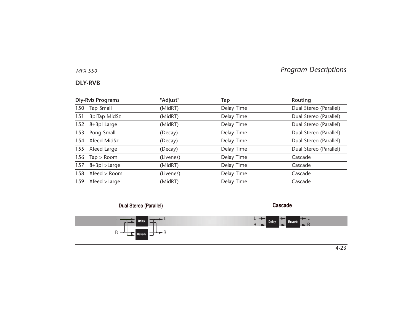**Cascade**

# **DLY-RVB**

|     | <b>Dly-Rvb Programs</b> | "Adjust"  | Tap        | Routing                |
|-----|-------------------------|-----------|------------|------------------------|
|     | 150 Tap Small           | (MidRT)   | Delay Time | Dual Stereo (Parallel) |
| 151 | 3plTap MidSz            | (MidRT)   | Delay Time | Dual Stereo (Parallel) |
|     | 152 8+3pl Large         | (MidRT)   | Delay Time | Dual Stereo (Parallel) |
|     | 153 Pong Small          | (Decay)   | Delay Time | Dual Stereo (Parallel) |
|     | 154 Xfeed MidSz         | (Decay)   | Delay Time | Dual Stereo (Parallel) |
|     | 155 Xfeed Large         | (Decay)   | Delay Time | Dual Stereo (Parallel) |
|     | 156 $Tap > Room$        | (Livenes) | Delay Time | Cascade                |
|     | 157 $8+3pl > Large$     | (MidRT)   | Delay Time | Cascade                |
|     | 158 Xfeed > Room        | (Livenes) | Delay Time | Cascade                |
|     | 159 Xfeed >Large        | (MidRT)   | Delay Time | Cascade                |

### **Dual Stereo (Parallel)**

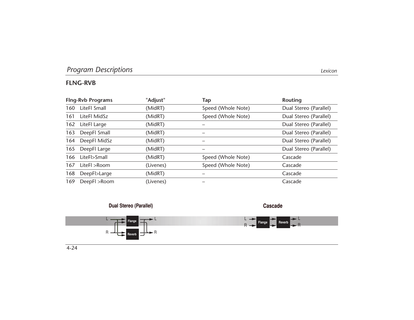# **FLNG-RVB**

|     | <b>Flng-Rvb Programs</b> | "Adjust"  | Tap                | Routing                |
|-----|--------------------------|-----------|--------------------|------------------------|
| 160 | LiteFl Small             | (MidRT)   | Speed (Whole Note) | Dual Stereo (Parallel) |
| 161 | LiteFl MidSz             | (MidRT)   | Speed (Whole Note) | Dual Stereo (Parallel) |
|     | 162 LiteFl Large         | (MidRT)   |                    | Dual Stereo (Parallel) |
| 163 | DeepFl Small             | (MidRT)   |                    | Dual Stereo (Parallel) |
|     | 164 DeepFl MidSz         | (MidRT)   |                    | Dual Stereo (Parallel) |
|     | 165 DeepFl Large         | (MidRT)   |                    | Dual Stereo (Parallel) |
| 166 | LiteFl>Small             | (MidRT)   | Speed (Whole Note) | Cascade                |
| 167 | LiteFl >Room             | (Livenes) | Speed (Whole Note) | Cascade                |
| 168 | DeepFl>Large             | (MidRT)   |                    | Cascade                |
| 169 | DeepFl >Room             | (Livenes) |                    | Cascade                |

#### **Dual Stereo (Parallel)**



**Cascade**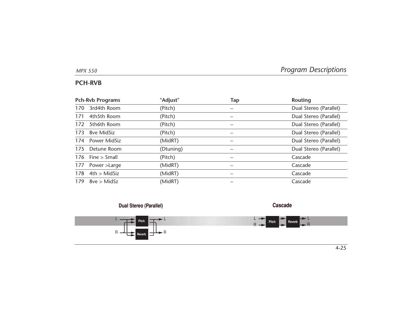# **PCH-RVB**

| <b>Pch-Rvb Programs</b> |                    | "Adjust"  | Tap | Routing                |
|-------------------------|--------------------|-----------|-----|------------------------|
| 170                     | 3rd4th Room        | (Pitch)   |     | Dual Stereo (Parallel) |
| 171                     | 4th5th Room        | (Pitch)   |     | Dual Stereo (Parallel) |
| 172                     | 5th6th Room        | (Pitch)   |     | Dual Stereo (Parallel) |
|                         | 173 8ve MidSiz     | (Pitch)   |     | Dual Stereo (Parallel) |
|                         | 174 Power MidSiz   | (MidRT)   |     | Dual Stereo (Parallel) |
|                         | 175 Detune Room    | (Dtuning) |     | Dual Stereo (Parallel) |
|                         | 176 Fine $>$ Small | (Pitch)   |     | Cascade                |
| 177                     | Power >Large       | (MidRT)   |     | Cascade                |
| 178                     | 4th > MidSize      | (MidRT)   |     | Cascade                |
| 179                     | 8ve > MidSz        | (MidRT)   |     | Cascade                |

#### **Dual Stereo (Parallel)**



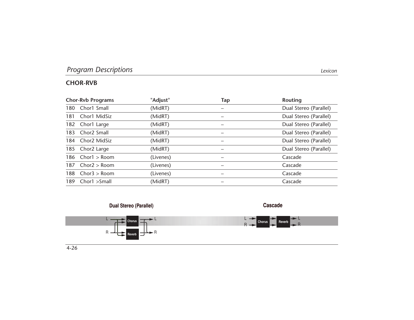# **CHOR-RVB**

|     | <b>Chor-Rvb Programs</b> | "Adjust"  | Tap | Routing                |
|-----|--------------------------|-----------|-----|------------------------|
|     | 180 Chor1 Small          | (MidRT)   |     | Dual Stereo (Parallel) |
| 181 | Chor1 MidSiz             | (MidRT)   | -   | Dual Stereo (Parallel) |
|     | 182 Chor1 Large          | (MidRT)   |     | Dual Stereo (Parallel) |
|     | 183 Chor2 Small          | (MidRT)   |     | Dual Stereo (Parallel) |
|     | 184 Chor2 MidSiz         | (MidRT)   |     | Dual Stereo (Parallel) |
|     | 185 Chor2 Large          | (MidRT)   | —   | Dual Stereo (Parallel) |
|     | $186$ Chor1 > Room       | (Livenes) |     | Cascade                |
|     | 187 $Chor2 > Room$       | (Livenes) | —   | Cascade                |
| 188 | Chor3 > Room             | (Livenes) | –   | Cascade                |
| 189 | Chor1 >Small             | (MidRT)   |     | Cascade                |

#### **Dual Stereo (Parallel)**



**Cascade**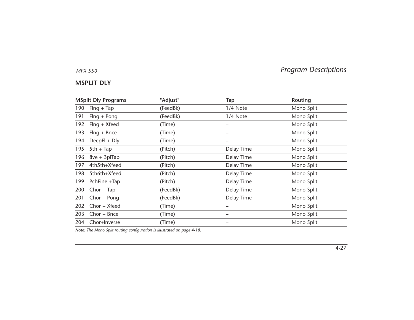# **MSPLIT DLY**

| <b>MSplit Dly Programs</b> |                 | "Adjust" | Tap        | Routing    |
|----------------------------|-----------------|----------|------------|------------|
| 190                        | $Flng + Tap$    | (FeedBk) | 1/4 Note   | Mono Split |
| 191                        | $Flng + Pong$   | (FeedBk) | 1/4 Note   | Mono Split |
| 192                        | Flng + Xfeed    | (Time)   |            | Mono Split |
| 193                        | $Flng + Bnce$   | (Time)   |            | Mono Split |
| 194                        | $DeepFI + Dly$  | (Time)   |            | Mono Split |
| 195                        | $5th + Tap$     | (Pitch)  | Delay Time | Mono Split |
| 196                        | $8ve + 3p$ Tap  | (Pitch)  | Delay Time | Mono Split |
| 197                        | 4th5th+Xfeed    | (Pitch)  | Delay Time | Mono Split |
| 198                        | 5th6th+Xfeed    | (Pitch)  | Delay Time | Mono Split |
| 199                        | PchFine +Tap    | (Pitch)  | Delay Time | Mono Split |
| 200                        | $Chor + Tap$    | (FeedBk) | Delay Time | Mono Split |
| 201                        | $Chor + Pong$   | (FeedBk) | Delay Time | Mono Split |
| 202                        | $Chor + Xfeed$  | (Time)   |            | Mono Split |
|                            | 203 Chor + Bnce | (Time)   |            | Mono Split |
| 204                        | Chor+Inverse    | (Time)   |            | Mono Split |
|                            |                 |          |            |            |

*Note: The Mono Split routing configuration is illustrated on page 4-18.*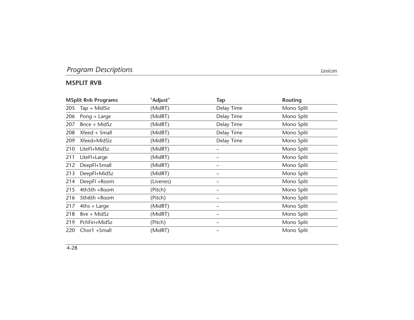# **MSPLIT RVB**

| <b>MSplit Rvb Programs</b> |                 | "Adjust"  | Tap        | Routing    |
|----------------------------|-----------------|-----------|------------|------------|
| 205                        | $Tap + MidSize$ | (MidRT)   | Delay Time | Mono Split |
| 206                        | Pong + Large    | (MidRT)   | Delay Time | Mono Split |
| 207                        | $Bnce + MidSz$  | (MidRT)   | Delay Time | Mono Split |
| 208                        | Xfeed + Small   | (MidRT)   | Delay Time | Mono Split |
| 209                        | Xfeed+MidSiz    | (MidRT)   | Delay Time | Mono Split |
| 210                        | LiteFl+MidSz    | (MidRT)   |            | Mono Split |
| 211                        | LiteFl+Large    | (MidRT)   |            | Mono Split |
| 212                        | DeepFl+Small    | (MidRT)   |            | Mono Split |
| 213                        | DeepFl+MidSz    | (MidRT)   |            | Mono Split |
| 214                        | DeepFl +Room    | (Livenes) |            | Mono Split |
| 215                        | 4th5th +Room    | (Pitch)   |            | Mono Split |
| 216                        | 5th6th +Room    | (Pitch)   |            | Mono Split |
| 217                        | $4$ ths + Large | (MidRT)   |            | Mono Split |
| 218                        | 8ve + MidSz     | (MidRT)   |            | Mono Split |
| 219                        | PchFin+MidSz    | (Pitch)   |            | Mono Split |
| 220                        | Chor1 +Small    | (MidRT)   |            | Mono Split |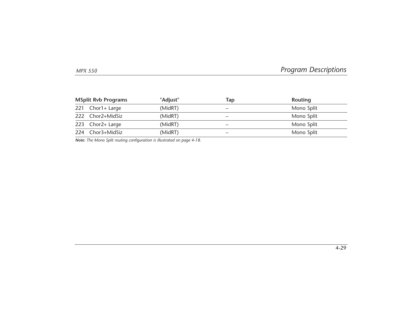|     | <b>MSplit Rvb Programs</b> | "Adjust" | Tap | Routing    |  |  |  |  |
|-----|----------------------------|----------|-----|------------|--|--|--|--|
|     | 221 Chor1+ Large           | (MidRT)  |     | Mono Split |  |  |  |  |
|     | 222 Chor2+MidSiz           | (MidRT)  |     | Mono Split |  |  |  |  |
|     | 223 Chor2+ Large           | (MidRT)  | -   | Mono Split |  |  |  |  |
| 224 | Chor3+MidSiz               | (MidRT)  |     | Mono Split |  |  |  |  |

*Note: The Mono Split routing configuration is illustrated on page 4-18.*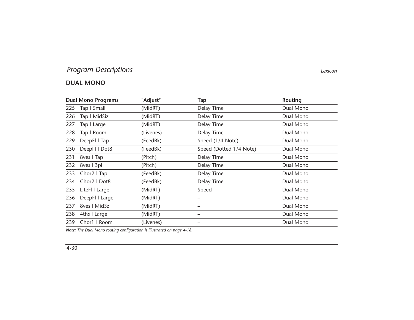|     | <b>Dual Mono Programs</b> | "Adjust"  | Tap                     | <b>Routing</b> |
|-----|---------------------------|-----------|-------------------------|----------------|
|     | 225 Tap   Small           | (MidRT)   | Delay Time              | Dual Mono      |
| 226 | Tap   MidSiz              | (MidRT)   | Delay Time              | Dual Mono      |
| 227 | Tap   Large               | (MidRT)   | Delay Time              | Dual Mono      |
| 228 | Tap   Room                | (Livenes) | Delay Time              | Dual Mono      |
| 229 | DeepFI   Tap              | (FeedBk)  | Speed (1/4 Note)        | Dual Mono      |
| 230 | DeepFI   Dot8             | (FeedBk)  | Speed (Dotted 1/4 Note) | Dual Mono      |
| 231 | 8ves   Tap                | (Pitch)   | Delay Time              | Dual Mono      |
|     | 232 8ves   3pl            | (Pitch)   | Delay Time              | Dual Mono      |
|     | 233 Chor2   Tap           | (FeedBk)  | Delay Time              | Dual Mono      |
| 234 | Chor2   Dot8              | (FeedBk)  | Delay Time              | Dual Mono      |
| 235 | LiteFI   Large            | (MidRT)   | Speed                   | Dual Mono      |
| 236 | DeepFI   Large            | (MidRT)   |                         | Dual Mono      |
| 237 | 8ves   MidSz              | (MidRT)   |                         | Dual Mono      |
|     | 238 4ths   Large          | (MidRT)   | —                       | Dual Mono      |
| 239 | Chor1   Room              | (Livenes) |                         | Dual Mono      |

*Note: The Dual Mono routing configuration is illustrated on page 4-18.*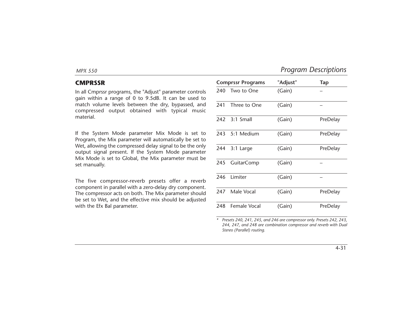### **CMPRSSR**

In all Cmprssr programs, the "Adjust" parameter controls gain within a range of 0 to 9.5dB. It can be used to match volume levels between the dry, bypassed, and compressed output obtained with typical music material.

If the System Mode parameter Mix Mode is set to Program, the Mix parameter will automatically be set to Wet, allowing the compressed delay signal to be the only output signal present. If the System Mode parameter Mix Mode is set to Global, the Mix parameter must be set manually.

The five compressor-reverb presets offer a reverb component in parallel with a zero-delay dry component. The compressor acts on both. The Mix parameter should be set to Wet, and the effective mix should be adjusted with the Efx Bal parameter.

|     | <b>Comprssr Programs</b> | "Adjust" | <b>Tap</b> |  |  |  |  |
|-----|--------------------------|----------|------------|--|--|--|--|
|     | 240 Two to One           | (Gain)   |            |  |  |  |  |
| 241 | Three to One             | (Gain)   |            |  |  |  |  |
|     | 242 3:1 Small            | (Gain)   | PreDelay   |  |  |  |  |
|     | 243 5:1 Medium           | (Gain)   | PreDelay   |  |  |  |  |
|     | 244 3:1 Large            | (Gain)   | PreDelay   |  |  |  |  |
| 245 | <b>GuitarComp</b>        | (Gain)   |            |  |  |  |  |
|     | 246 Limiter              | (Gain)   |            |  |  |  |  |
|     | 247 Male Vocal           | (Gain)   | PreDelay   |  |  |  |  |
|     | 248 Female Vocal         | (Gain)   | PreDelay   |  |  |  |  |

*\* Presets 240, 241, 245, and 246 are compressor only. Presets 242, 243, 244, 247, and 248 are combination compressor and reverb with Dual Stereo (Parallel) routing.*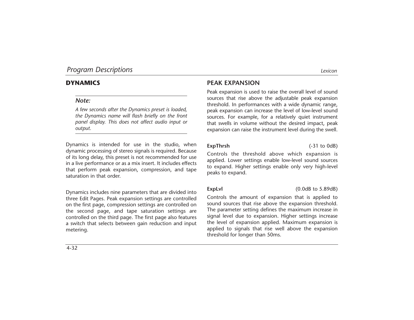### *Note:*

*A few seconds after the Dynamics preset is loaded, the Dynamics name will flash briefly on the front panel display. This does not affect audio input or output.*

Dynamics is intended for use in the studio, when dynamic processing of stereo signals is required. Because of its long delay, this preset is not recommended for use in a live performance or as a mix insert. It includes effects that perform peak expansion, compression, and tape saturation in that order.

Dynamics includes nine parameters that are divided into three Edit Pages. Peak expansion settings are controlled on the first page, compression settings are controlled on the second page, and tape saturation settings are controlled on the third page. The first page also features a switch that selects between gain reduction and input metering.

### **PEAK EXPANSION**

Peak expansion is used to raise the overall level of sound sources that rise above the adjustable peak expansion threshold. In performances with a wide dynamic range, peak expansion can increase the level of low-level sound sources. For example, for a relatively quiet instrument that swells in volume without the desired impact, peak expansion can raise the instrument level during the swell.

**ExpThrsh** (-31 to 0dB)

Controls the threshold above which expansion is applied. Lower settings enable low-level sound sources to expand. Higher settings enable only very high-level peaks to expand.

**ExpLvl** (0.0dB to 5.89dB)

Controls the amount of expansion that is applied to sound sources that rise above the expansion threshold. The parameter setting defines the maximum increase in signal level due to expansion. Higher settings increase the level of expansion applied. Maximum expansion is applied to signals that rise well above the expansion threshold for longer than 50ms.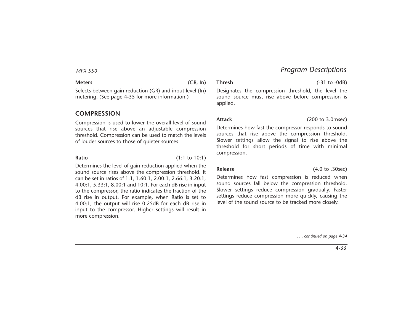**Meters** (GR, In)

Selects between gain reduction (GR) and input level (In) metering. (See page 4-35 for more information.)

### **COMPRESSION**

Compression is used to lower the overall level of sound sources that rise above an adjustable compression threshold. Compression can be used to match the levels of louder sources to those of quieter sources.

**Ratio** (1:1 to 10:1)

Determines the level of gain reduction applied when the sound source rises above the compression threshold. It can be set in ratios of 1:1, 1.60:1, 2.00:1, 2.66:1, 3.20:1, 4.00:1, 5.33:1, 8.00:1 and 10:1. For each dB rise in input to the compressor, the ratio indicates the fraction of the dB rise in output. For example, when Ratio is set to 4.00:1, the output will rise 0.25dB for each dB rise in input to the compressor. Higher settings will result in more compression.

**Thresh** (-31 to -0dB)

Designates the compression threshold, the level the sound source must rise above before compression is applied.

**Attack** (200 to 3.0msec)

Determines how fast the compressor responds to sound sources that rise above the compression threshold. Slower settings allow the signal to rise above the threshold for short periods of time with minimal compression.

**Release** (4.0 to .30sec)

Determines how fast compression is reduced when sound sources fall below the compression threshold. Slower settings reduce compression gradually. Faster settings reduce compression more quickly, causing the level of the sound source to be tracked more closely.

*. . . continued on page 4-34*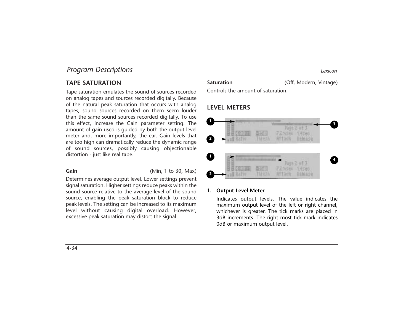### **TAPE SATURATION**

Tape saturation emulates the sound of sources recorded on analog tapes and sources recorded digitally. Because of the natural peak saturation that occurs with analog tapes, sound sources recorded on them seem louder than the same sound sources recorded digitally. To use this effect, increase the Gain parameter setting. The amount of gain used is guided by both the output level meter and, more importantly, the ear. Gain levels that are too high can dramatically reduce the dynamic range of sound sources, possibly causing objectionable distortion - just like real tape.

### **Gain** (Min, 1 to 30, Max)

Determines average output level. Lower settings prevent signal saturation. Higher settings reduce peaks within the sound source relative to the average level of the sound source, enabling the peak saturation block to reduce peak levels. The setting can be increased to its maximum level without causing digital overload. However, excessive peak saturation may distort the signal.

### Saturation **Saturation** (Off, Modern, Vintage)

Controls the amount of saturation.

### **LEVEL METERS**



### **1. Output Level Meter**

Indicates output levels. The value indicates the maximum output level of the left or right channel, whichever is greater. The tick marks are placed in 3dB increments. The right most tick mark indicates 0dB or maximum output level.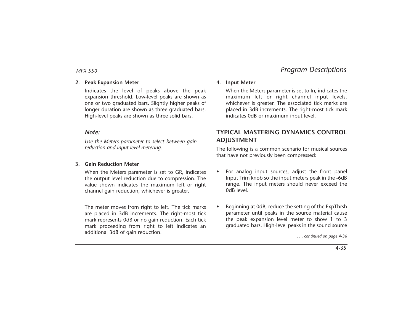### **2. Peak Expansion Meter**

Indicates the level of peaks above the peak expansion threshold. Low-level peaks are shown as one or two graduated bars. Slightly higher peaks of longer duration are shown as three graduated bars. High-level peaks are shown as three solid bars.

### *Note:*

*Use the Meters parameter to select between gain reduction and input level metering.*

### **3. Gain Reduction Meter**

When the Meters parameter is set to GR, indicates the output level reduction due to compression. The value shown indicates the maximum left or right channel gain reduction, whichever is greater.

The meter moves from right to left. The tick marks are placed in 3dB increments. The right-most tick mark represents 0dB or no gain reduction. Each tick mark proceeding from right to left indicates an additional 3dB of gain reduction.

### **4. Input Meter**

When the Meters parameter is set to In, indicates the maximum left or right channel input levels, whichever is greater. The associated tick marks are placed in 3dB increments. The right-most tick mark indicates 0dB or maximum input level.

### **TYPICAL MASTERING DYNAMICS CONTROL ADJUSTMENT**

The following is a common scenario for musical sources that have not previously been compressed:

- • For analog input sources, adjust the front panel Input Trim knob so the input meters peak in the -6dB range. The input meters should never exceed the level abo
- • Beginning at 0dB, reduce the setting of the ExpThrsh parameter until peaks in the source material cause the peak expansion level meter to show 1 to 3 graduated bars. High-level peaks in the sound source

*. . . continued on page 4-36*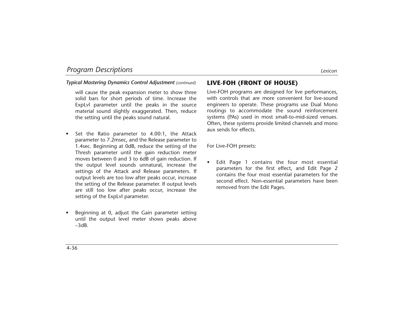### *Typical Mastering Dynamics Control Adjustment (continued)*

will cause the peak expansion meter to show three solid bars for short periods of time. Increase the ExpLvl parameter until the peaks in the source material sound slightly exaggerated. Then, reduce the setting until the peaks sound natural.

- • Set the Ratio parameter to 4.00:1, the Attack parameter to 7.2msec, and the Release parameter to 1.4sec. Beginning at 0dB, reduce the setting of the Thresh parameter until the gain reduction meter moves between 0 and 3 to 6dB of gain reduction. If the output level sounds unnatural, increase the settings of the Attack and Release parameters. If output levels are too low after peaks occur, increase the setting of the Release parameter. If output levels are still too low after peaks occur, increase the setting of the ExpLvl parameter.
- • Beginning at 0, adjust the Gain parameter setting until the output level meter shows peaks above  $-3$ d $B$

### **LIVE-FOH (FRONT OF HOUSE)**

Live-FOH programs are designed for live performances, with controls that are more convenient for live-sound engineers to operate. These programs use Dual Mono routings to accommodate the sound reinforcement systems (PAs) used in most small-to-mid-sized venues. Often, these systems provide limited channels and mono aux sends for effects.

For Live-FOH presets:

• Edit Page 1 contains the four most essential parameters for the first effect, and Edit Page 2 contains the four most essential parameters for the second effect. Non-essential parameters have been removed from the Edit Pages.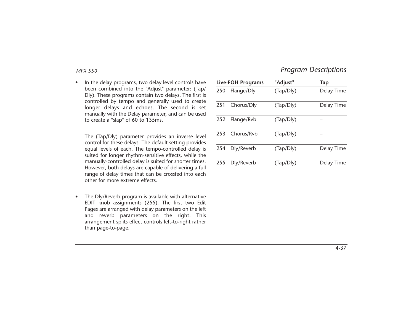• In the delay programs, two delay level controls have been combined into the "Adjust" parameter: (Tap/ Dly). These programs contain two delays. The first is controlled by tempo and generally used to create longer delays and echoes. The second is set manually with the Delay parameter, and can be used to create a "slap" of 60 to 135ms.

The (Tap/Dly) parameter provides an inverse level control for these delays. The default setting provides equal levels of each. The tempo-controlled delay is suited for longer rhythm-sensitive effects, while the manually-controlled delay is suited for shorter times. However, both delays are capable of delivering a full range of delay times that can be crossfed into each other for more extreme effects.

• The Dly/Reverb program is available with alternative EDIT knob assignments (255). The first two Edit Pages are arranged with delay parameters on the left and reverb parameters on the right. This arrangement splits effect controls left-to-right rather than page-to-page.

|     | <b>Live-FOH Programs</b> | "Adjust"  | Tap        |
|-----|--------------------------|-----------|------------|
| 250 | Flange/Dly               | (Tap/Dly) | Delay Time |
| 251 | Chorus/Dly               | (Tap/Dly) | Delay Time |
| 252 | Flange/Rvb               | (Tap/Dly) |            |
| 253 | Chorus/Rvb               | (Tap/Dly) |            |
| 254 | Dly/Reverb               | (Tap/Dly) | Delay Time |
| 255 | Dly/Reverb               | (Tap/Dly) | Delay Time |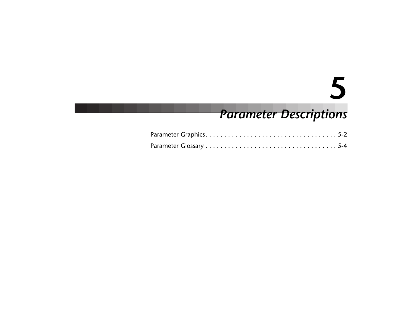# **5**

## *Parameter Descriptions*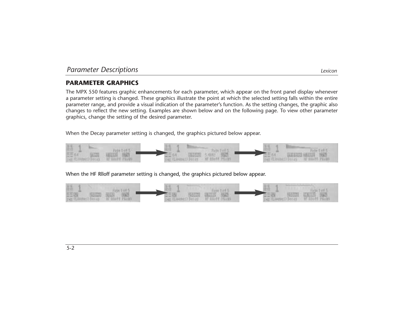### **PARAMETER GRAPHICS**

The MPX 550 features graphic enhancements for each parameter, which appear on the front panel display whenever a parameter setting is changed. These graphics illustrate the point at which the selected setting falls within the entire parameter range, and provide a visual indication of the parameter's function. As the setting changes, the graphic also changes to reflect the new setting. Examples are shown below and on the following page. To view other parameter graphics, change the setting of the desired parameter.

When the Decay parameter setting is changed, the graphics pictured below appear.



When the HF Rlloff parameter setting is changed, the graphics pictured below appear.

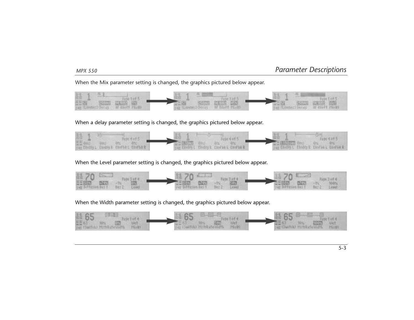When the Mix parameter setting is changed, the graphics pictured below appear.



When a delay parameter setting is changed, the graphics pictured below appear.



When the Level parameter setting is changed, the graphics pictured below appear.



When the Width parameter setting is changed, the graphics pictured below appear.

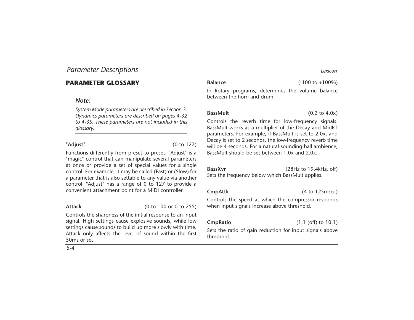### **PARAMETER GLOSSARY**

### *Note:*

*System Mode parameters are described in Section 3. Dynamics parameters are described on pages 4-32 to 4-35. These parameters are not included in this glossary.*

**"Adjust"** (0 to 127)

Functions differently from preset to preset. "Adjust" is a "magic" control that can manipulate several parameters at once or provide a set of special values for a single control. For example, it may be called (Fast) or (Slow) for a parameter that is also settable to any value via another control. "Adjust" has a range of 0 to 127 to provide a convenient attachment point for a MIDI controller.

5-4

**Attack** (0 to 100 or 0 to 255)

Controls the sharpness of the initial response to an input signal. High settings cause explosive sounds, while low settings cause sounds to build up more slowly with time. Attack only affects the level of sound within the first 50ms or so.

### **Balance** (-100 to +100%)

In Rotary programs, determines the volume balance between the horn and drum.

Controls the reverb time for low-frequency signals. BassMult works as a multiplier of the Decay and MidRT parameters. For example, if BassMult is set to 2.0x, and Decay is set to 2 seconds, the low-frequency reverb time will be 4 seconds. For a natural-sounding hall ambience, BassMult should be set between 1.0x and 2.0x.

**BassXvr** (28Hz to 19.4kHz, off) Sets the frequency below which BassMult applies.

**CmpAttk** (4 to 125msec)

Controls the speed at which the compressor responds when input signals increase above threshold.

**CmpRatio** (1:1 (off) to 10:1)

Sets the ratio of gain reduction for input signals above threshold.

**BassMult** (0.2 to 4.0x)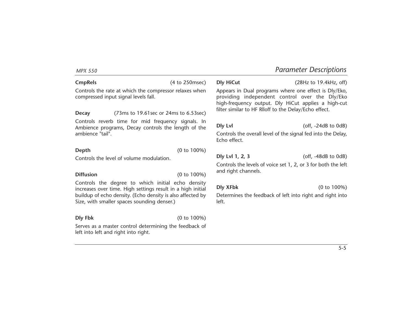### **CmpRels** (4 to 250msec)

Controls the rate at which the compressor relaxes when compressed input signal levels fall.

**Decay** (73ms to 19.61sec or 24ms to 6.53sec) Controls reverb time for mid frequency signals. In Ambience programs, Decay controls the length of the ambience "tail".

**Depth** (0 to 100%)

Controls the level of volume modulation.

**Diffusion** (0 to 100%)

Controls the degree to which initial echo density increases over time. High settings result in a high initial buildup of echo density. (Echo density is also affected by Size, with smaller spaces sounding denser.)

**Dly Fbk** (0 to 100%)

Serves as a master control determining the feedback of left into left and right into right.

**Dly HiCut** (28Hz to 19.4kHz, off)

Appears in Dual programs where one effect is Dly/Eko, providing independent control over the Dly/Eko high-frequency output. Dly HiCut applies a high-cut filter similar to HF Rlloff to the Delay/Echo effect.

**Dly Lvl** (off, -24dB to 0dB)

Controls the overall level of the signal fed into the Delay, Echo effect.

**Dly Lvl 1, 2, 3** (off, -48dB to 0dB)

Controls the levels of voice set 1, 2, or 3 for both the left and right channels.

**Dly XFbk** (0 to 100%)

Determines the feedback of left into right and right into left.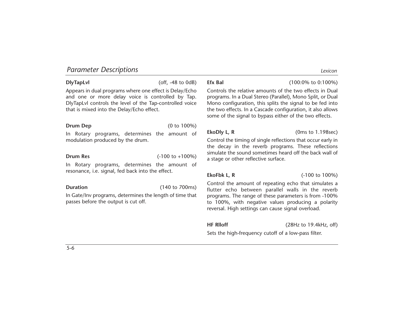**DlyTapLvl** (off, -48 to 0dB)

Appears in dual programs where one effect is Delay/Echo and one or more delay voice is controlled by Tap. DlyTapLvl controls the level of the Tap-controlled voice that is mixed into the Delay/Echo effect.

### **Drum Dep** (0 to 100%)

In Rotary programs, determines the amount of modulation produced by the drum.

**Drum Res** (-100 to +100%)

In Rotary programs, determines the amount of resonance, i.e. signal, fed back into the effect.

**Duration** (140 to 700ms)

In Gate/Inv programs, determines the length of time that passes before the output is cut off.

**Efx Bal** (100:0% to 0:100%)

Controls the relative amounts of the two effects in Dual programs. In a Dual Stereo (Parallel), Mono Split, or Dual Mono configuration, this splits the signal to be fed into the two effects. In a Cascade configuration, it also allows some of the signal to bypass either of the two effects.

**EkoDly L, R** (0ms to 1.198sec)

Control the timing of single reflections that occur early in the decay in the reverb programs. These reflections simulate the sound sometimes heard off the back wall of a stage or other reflective surface.

**EkoFbk L, R** (-100 to 100%)

Control the amount of repeating echo that simulates a flutter echo between parallel walls in the reverb programs. The range of these parameters is from -100% to 100%, with negative values producing a polarity reversal. High settings can cause signal overload.

**HF Rlloff** (28Hz to 19.4kHz, off)

Sets the high-frequency cutoff of a low-pass filter.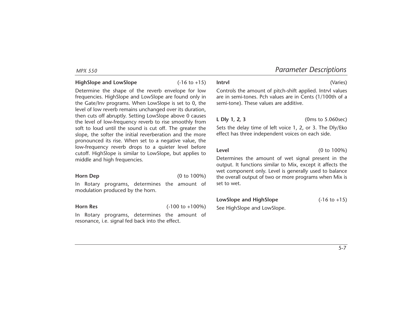### **HighSlope and LowSlope** (-16 to +15)

Determine the shape of the reverb envelope for low frequencies. HighSlope and LowSlope are found only in the Gate/Inv programs. When LowSlope is set to 0, the level of low reverb remains unchanged over its duration, then cuts off abruptly. Setting LowSlope above 0 causes the level of low-frequency reverb to rise smoothly from soft to loud until the sound is cut off. The greater the slope, the softer the initial reverberation and the more pronounced its rise. When set to a negative value, the low-frequency reverb drops to a quieter level before cutoff. HighSlope is similar to LowSlope, but applies to middle and high frequencies.

**Horn Dep** (0 to 100%)

In Rotary programs, determines the amount of modulation produced by the horn.

**Horn Res** (-100 to +100%)

In Rotary programs, determines the amount of resonance, i.e. signal fed back into the effect.

Controls the amount of pitch-shift applied. Intrvl values are in semi-tones. Pch values are in Cents (1/100th of a semi-tone). These values are additive.

**L Dly 1, 2, 3** (0ms to 5.060sec)

Sets the delay time of left voice 1, 2, or 3. The Dly/Eko effect has three independent voices on each side.

**Level** (0 to 100%)

Determines the amount of wet signal present in the output. It functions similar to Mix, except it affects the wet component only. Level is generally used to balance the overall output of two or more programs when Mix is set to wet.

**LowSlope and HighSlope** (-16 to +15)

See HighSlope and LowSlope.

5-7

### **Intrvl** (Varies)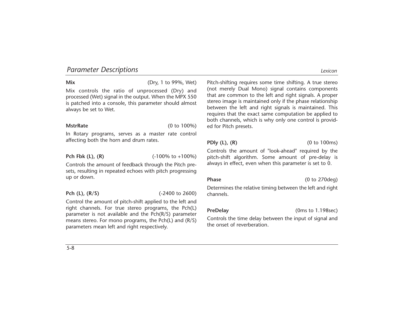**Mix** (Dry, 1 to 99%, Wet)

Mix controls the ratio of unprocessed (Dry) and processed (Wet) signal in the output. When the MPX 550 is patched into a console, this parameter should almost always be set to Wet.

**MstrRate** (0 to 100%)

In Rotary programs, serves as a master rate control affecting both the horn and drum rates.

**Pch Fbk (L), (R)** (-100% to +100%)

Controls the amount of feedback through the Pitch presets, resulting in repeated echoes with pitch progressing up or down.

**Pch (L), (R/S)** (-2400 to 2600)

Control the amount of pitch-shift applied to the left and right channels. For true stereo programs, the Pch(L) parameter is not available and the Pch(R/S) parameter means stereo. For mono programs, the Pch(L) and (R/S) parameters mean left and right respectively.

Pitch-shifting requires some time shifting. A true stereo (not merely Dual Mono) signal contains components that are common to the left and right signals. A proper stereo image is maintained only if the phase relationship between the left and right signals is maintained. This requires that the exact same computation be applied to both channels, which is why only one control is provided for Pitch presets.

### **PDly (L), (R)** (0 to 100ms)

Controls the amount of "look-ahead" required by the pitch-shift algorithm. Some amount of pre-delay is always in effect, even when this parameter is set to 0.

Phase (0 to 270deg)

Determines the relative timing between the left and right channels.

**PreDelay** (0ms to 1.198sec)

Controls the time delay between the input of signal and the onset of reverberation.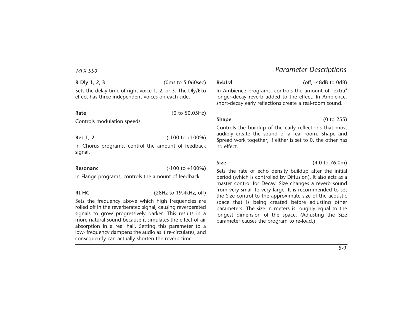**R Dly 1, 2, 3** (0ms to 5.060sec) Sets the delay time of right voice 1, 2, or 3. The Dly/Eko effect has three independent voices on each side.

### **Rate** (0 to 50.05Hz)

Controls modulation speeds.

### **Res 1, 2** (-100 to +100%)

In Chorus programs, control the amount of feedback signal.

**Resonanc** (-100 to +100%)

In Flange programs, controls the amount of feedback.

**Rt HC** (28Hz to 19.4kHz, off)

Sets the frequency above which high frequencies are rolled off in the reverberated signal, causing reverberated signals to grow progressively darker. This results in a more natural sound because it simulates the effect of air absorption in a real hall. Setting this parameter to a low- frequency dampens the audio as it re-circulates, and consequently can actually shorten the reverb time.

**RvbLvl** (off, -48dB to 0dB)

In Ambience programs, controls the amount of "extra" longer-decay reverb added to the effect. In Ambience, short-decay early reflections create a real-room sound.

**Shape** (0 to 255)

Controls the buildup of the early reflections that most audibly create the sound of a real room. Shape and Spread work together; if either is set to 0, the other has no effect.

**Size** (4.0 to 76.0m)

Sets the rate of echo density buildup after the initial period (which is controlled by Diffusion). It also acts as a master control for Decay. Size changes a reverb sound from very small to very large. It is recommended to set the Size control to the approximate size of the acoustic space that is being created before adjusting other parameters. The size in meters is roughly equal to the longest dimension of the space. (Adjusting the Size parameter causes the program to re-load.)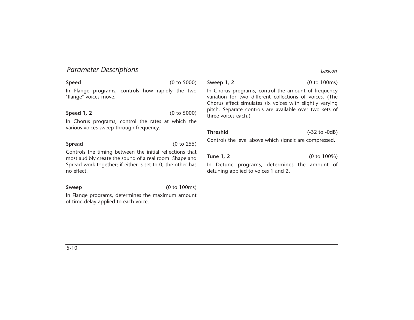### **Speed** (0 to 5000)

In Flange programs, controls how rapidly the two "flange" voices move.

**Speed 1, 2** (0 to 5000)

In Chorus programs, control the rates at which the various voices sweep through frequency.

**Spread** (0 to 255)

Controls the timing between the initial reflections that most audibly create the sound of a real room. Shape and Spread work together; if either is set to 0, the other has no effect.

### **Sweep** (0 to 100ms)

In Flange programs, determines the maximum amount of time-delay applied to each voice.

**Sweep 1, 2** (0 to 100ms)

In Chorus programs, control the amount of frequency variation for two different collections of voices. (The Chorus effect simulates six voices with slightly varying pitch. Separate controls are available over two sets of three voices each.)

**Threshld** (-32 to -0dB)

Controls the level above which signals are compressed.

**Tune 1, 2** (0 to 100%)

In Detune programs, determines the amount of detuning applied to voices 1 and 2.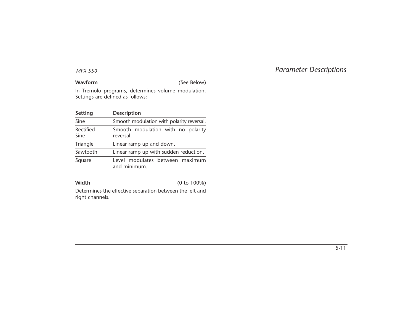**Wavform** (See Below)

In Tremolo programs, determines volume modulation. Settings are defined as follows:

| Setting           | <b>Description</b>                              |  |  |  |
|-------------------|-------------------------------------------------|--|--|--|
| Sine              | Smooth modulation with polarity reversal.       |  |  |  |
| Rectified<br>Sine | Smooth modulation with no polarity<br>reversal. |  |  |  |
| Triangle          | Linear ramp up and down.                        |  |  |  |
| Sawtooth          | Linear ramp up with sudden reduction.           |  |  |  |
| Square            | Level modulates between maximum<br>and minimum. |  |  |  |

**Width** (0 to 100%)

Determines the effective separation between the left and right channels.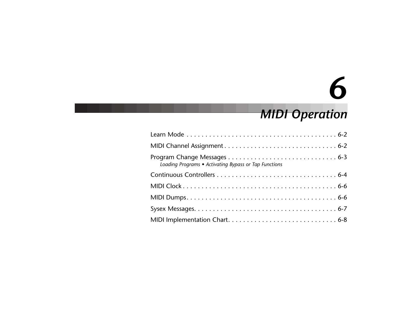# **6**

## *MIDI Operation*

| Loading Programs • Activating Bypass or Tap Functions |
|-------------------------------------------------------|
|                                                       |
|                                                       |
|                                                       |
|                                                       |
|                                                       |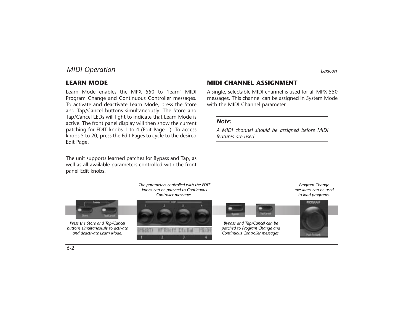### **LEARN MODE**

Learn Mode enables the MPX 550 to "learn" MIDI Program Change and Continuous Controller messages. To activate and deactivate Learn Mode, press the Store and Tap/Cancel buttons simultaneously. The Store and Tap/Cancel LEDs will light to indicate that Learn Mode is active. The front panel display will then show the current patching for EDIT knobs 1 to 4 (Edit Page 1). To access knobs 5 to 20, press the Edit Pages to cycle to the desired Edit Page.

The unit supports learned patches for Bypass and Tap, as well as all available parameters controlled with the front panel Edit knobs.

### **MIDI CHANNEL ASSIGNMENT**

A single, selectable MIDI channel is used for all MPX 550 messages. This channel can be assigned in System Mode with the MIDI Channel parameter.

### *Note:*

*A MIDI channel should be assigned before MIDI features are used.*

*The parameters controlled with the EDIT knobs can be patched to Continuous Controller messages.*



*Press the Store and Tap/Cancel buttons simultaneously to activate and deactivate Learn Mode.*





*Bypass and Tap/Cancel can be patched to Program Change and Continuous Controller messages.*



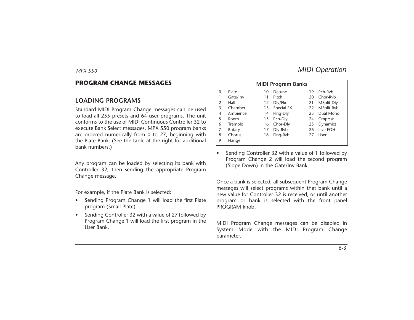### **PROGRAM CHANGE MESSAGES**

### **LOADING PROGRAMS**

Standard MIDI Program Change messages can be used to load all 255 presets and 64 user programs. The unit conforms to the use of MIDI Continuous Controller 32 to execute Bank Select messages. MPX 550 program banks are ordered numerically from 0 to 27, beginning with the Plate Bank. (See the table at the right for additional bank numbers.)

Any program can be loaded by selecting its bank with Controller 32, then sending the appropriate Program Change message.

For example, if the Plate Bank is selected:

- • Sending Program Change 1 will load the first Plate program (Small Plate).
- • Sending Controller 32 with a value of 27 followed by Program Change 1 will load the first program in the User Bank.

|                |          |    | <b>MIDI Program Banks</b> |    |                   |
|----------------|----------|----|---------------------------|----|-------------------|
| $\mathbf{0}$   | Plate    | 10 | Detune                    | 19 | Pch-Ryb           |
|                | Gate/Inv | 11 | Pitch                     | 20 | Chor-Rvb          |
| $\overline{2}$ | Hall     | 12 | Dly/Eko                   | 21 | <b>MSplit Dly</b> |
| 3              | Chamber  | 13 | Special FX                | 22 | MSplit Rvb        |
| 4              | Ambience | 14 | Flng-Dly                  | 23 | Dual Mono         |
| 5              | Room     | 15 | Pch-Dly                   | 24 | Cmprssr           |
| 6              | Tremolo  | 16 | Chor-Dly                  | 25 | Dynamics          |
| 7              | Rotary   | 17 | Dly-Rvb                   | 26 | Live-FOH          |
| 8              | Chorus   | 18 | Flng-Rvb                  | 27 | User              |
| 9              | Flange   |    |                           |    |                   |

• Sending Controller 32 with a value of 1 followed by Program Change 2 will load the second program (Slope Down) in the Gate/Inv Bank.

Once a bank is selected, all subsequent Program Change messages will select programs within that bank until a new value for Controller 32 is received, or until another program or bank is selected with the front panel PROGRAM knob.

MIDI Program Change messages can be disabled in System Mode with the MIDI Program Change parameter.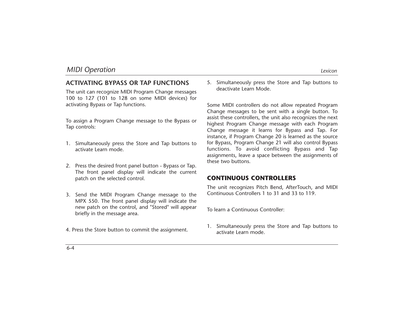### **ACTIVATING BYPASS OR TAP FUNCTIONS**

The unit can recognize MIDI Program Change messages 100 to 127 (101 to 128 on some MIDI devices) for activating Bypass or Tap functions.

To assign a Program Change message to the Bypass or Tap controls:

- 1. Simultaneously press the Store and Tap buttons to activate Learn mode.
- 2. Press the desired front panel button Bypass or Tap. The front panel display will indicate the current patch on the selected control.
- 3. Send the MIDI Program Change message to the MPX 550. The front panel display will indicate the new patch on the control, and "Stored" will appear briefly in the message area.
- 4. Press the Store button to commit the assignment.

5. Simultaneously press the Store and Tap buttons to deactivate Learn Mode.

Some MIDI controllers do not allow repeated Program Change messages to be sent with a single button. To assist these controllers, the unit also recognizes the next highest Program Change message with each Program Change message it learns for Bypass and Tap. For instance, if Program Change 20 is learned as the source for Bypass, Program Change 21 will also control Bypass functions. To avoid conflicting Bypass and Tap assignments, leave a space between the assignments of these two buttons.

### **CONTINUOUS CONTROLLERS**

The unit recognizes Pitch Bend, AfterTouch, and MIDI Continuous Controllers 1 to 31 and 33 to 119.

To learn a Continuous Controller:

1. Simultaneously press the Store and Tap buttons to activate Learn mode.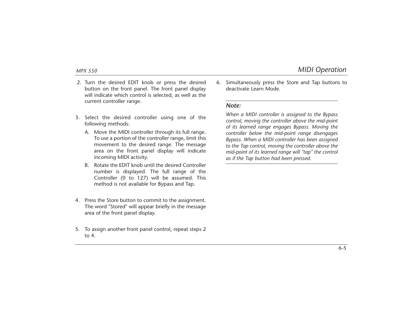- 2. Turn the desired EDIT knob or press the desired button on the front panel. The front panel display will indicate which control is selected, as well as the current controller range.
- 3. Select the desired controller using one of the following methods:
	- A. Move the MIDI controller through its full range. To use a portion of the controller range, limit this movement to the desired range. The message area on the front panel display will indicate incoming MIDI activity.
	- B. Rotate the EDIT knob until the desired Controller number is displayed. The full range of the Controller (0 to 127) will be assumed. This method is not available for Bypass and Tap.
- 4. Press the Store button to commit to the assignment. The word "Stored" will appear briefly in the message area of the front panel display.
- 5. To assign another front panel control, repeat steps 2 to 4.

6. Simultaneously press the Store and Tap buttons to deactivate Learn Mode.

### *Note:*

*When a MIDI controller is assigned to the Bypass control, moving the controller above the mid-point of its learned range engages Bypass. Moving the controller below the mid-point range disengages Bypass. When a MIDI controller has been assigned to the Tap control, moving the controller above the mid-point of its learned range will "tap" the control as if the Tap button had been pressed.*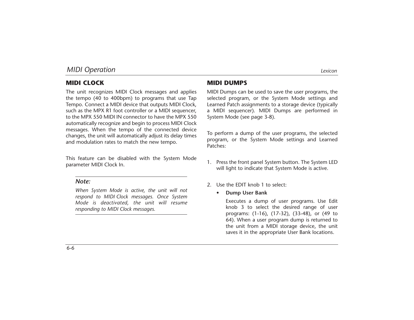### **MIDI CLOCK**

The unit recognizes MIDI Clock messages and applies the tempo (40 to 400bpm) to programs that use Tap Tempo. Connect a MIDI device that outputs MIDI Clock, such as the MPX R1 foot controller or a MIDI sequencer, to the MPX 550 MIDI IN connector to have the MPX 550 automatically recognize and begin to process MIDI Clock messages. When the tempo of the connected device changes, the unit will automatically adjust its delay times and modulation rates to match the new tempo.

This feature can be disabled with the System Mode parameter MIDI Clock In.

### *Note:*

*When System Mode is active, the unit will not respond to MIDI Clock messages. Once System Mode is deactivated, the unit will resume responding to MIDI Clock messages.*

MIDI Dumps can be used to save the user programs, the selected program, or the System Mode settings and Learned Patch assignments to a storage device (typically a MIDI sequencer). MIDI Dumps are performed in System Mode (see page 3-8).

To perform a dump of the user programs, the selected program, or the System Mode settings and Learned Patches:

- 1. Press the front panel System button. The System LED will light to indicate that System Mode is active.
- 2. Use the EDIT knob 1 to select:
	- •**Dump User Bank**

Executes a dump of user programs. Use Edit knob 3 to select the desired range of user programs: (1-16), (17-32), (33-48), or (49 to 64). When a user program dump is returned to the unit from a MIDI storage device, the unit saves it in the appropriate User Bank locations.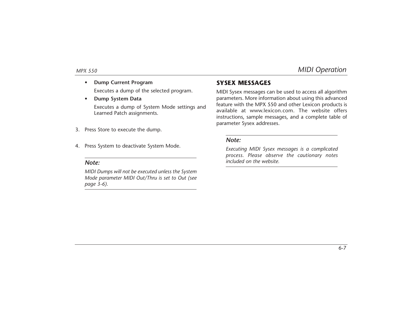6-7

•**Dump Current Program**

Executes a dump of the selected program.

•**Dump System Data**

> Executes a dump of System Mode settings and Learned Patch assignments.

- 3. Press Store to execute the dump.
- 4. Press System to deactivate System Mode.

### *Note:*

*MIDI Dumps will not be executed unless the System Mode parameter MIDI Out/Thru is set to Out (see page 3-6).*

### **SYSEX MESSAGES**

MIDI Sysex messages can be used to access all algorithm parameters. More information about using this advanced feature with the MPX 550 and other Lexicon products is available at www.lexicon.com. The website offers instructions, sample messages, and a complete table of parameter Sysex addresses.

### *Note:*

*Executing MIDI Sysex messages is a complicated process. Please observe the cautionary notes included on the website.*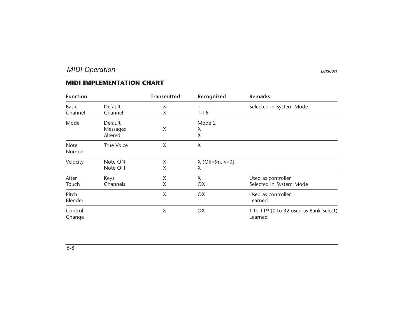### **MIDI IMPLEMENTATION CHART**

| <b>Function</b>       |                   | <b>Transmitted</b> | Recognized           | <b>Remarks</b>                         |
|-----------------------|-------------------|--------------------|----------------------|----------------------------------------|
| <b>Basic</b>          | Default           | X                  |                      | Selected in System Mode                |
| Channel               | Channel           | X                  | $1 - 16$             |                                        |
| Mode                  | Default           |                    | Mode 2               |                                        |
|                       | Messages          | X                  | X                    |                                        |
|                       | Altered           |                    | X                    |                                        |
| <b>Note</b><br>Number | <b>True Voice</b> | X                  | X                    |                                        |
| Velocity              | Note ON           | X                  | $X$ (Off=9n, $v=0$ ) |                                        |
|                       | Note OFF          | X                  | X                    |                                        |
| After                 | Keys              | X                  | X                    | Used as controller                     |
| Touch                 | Channels          | X                  | OX.                  | Selected in System Mode                |
| Pitch                 |                   | X                  | OX                   | Used as controller                     |
| Blender               |                   |                    |                      | Learned                                |
| Control               |                   | X                  | <b>OX</b>            | 1 to 119 (0 to 32 used as Bank Select) |
| Change                |                   |                    |                      | Learned                                |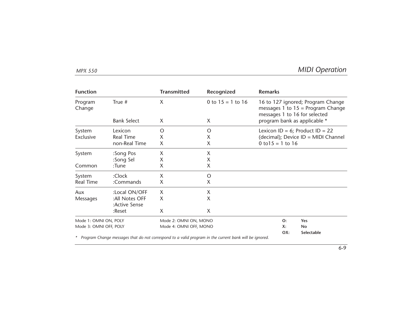| <b>Function</b>        |                                 | <b>Transmitted</b>     | Recognized          | <b>Remarks</b>                        |                                                                          |  |  |  |  |
|------------------------|---------------------------------|------------------------|---------------------|---------------------------------------|--------------------------------------------------------------------------|--|--|--|--|
| Program<br>Change      | True #                          | X                      | 0 to $15 = 1$ to 16 | messages 1 to 16 for selected         | 16 to 127 ignored; Program Change<br>messages 1 to $15$ = Program Change |  |  |  |  |
|                        | <b>Bank Select</b>              | X                      | X                   | program bank as applicable *          |                                                                          |  |  |  |  |
| System                 | Lexicon                         | O                      | O                   |                                       | Lexicon ID = $6$ ; Product ID = 22                                       |  |  |  |  |
| Exclusive              | <b>Real Time</b>                | X                      | X                   |                                       | (decimal); Device ID = MIDI Channel                                      |  |  |  |  |
|                        | non-Real Time                   | X                      | X                   | $0 \text{ to } 15 = 1 \text{ to } 16$ |                                                                          |  |  |  |  |
| System                 | :Song Pos                       | Χ                      | Χ                   |                                       |                                                                          |  |  |  |  |
|                        | :Song Sel                       | X                      | X                   |                                       |                                                                          |  |  |  |  |
| Common                 | :Tune                           | X                      | X                   |                                       |                                                                          |  |  |  |  |
| System                 | :Clock                          | X                      | O                   |                                       |                                                                          |  |  |  |  |
| <b>Real Time</b>       | :Commands                       | X                      | X                   |                                       |                                                                          |  |  |  |  |
| Aux                    | :Local ON/OFF                   | X                      | X                   |                                       |                                                                          |  |  |  |  |
| Messages               | :All Notes OFF<br>:Active Sense | X                      | X                   |                                       |                                                                          |  |  |  |  |
|                        | :Reset                          | X                      | X                   |                                       |                                                                          |  |  |  |  |
| Mode 1: OMNI ON, POLY  |                                 | Mode 2: OMNI ON, MONO  |                     | O:                                    | Yes                                                                      |  |  |  |  |
| Mode 3: OMNI OFF, POLY |                                 | Mode 4: OMNI OFF, MONO |                     | X:                                    | <b>No</b>                                                                |  |  |  |  |
|                        |                                 |                        |                     | OX:                                   | Selectable                                                               |  |  |  |  |

*\* Program Change messages that do not correspond to a valid program in the current bank will be ignored.*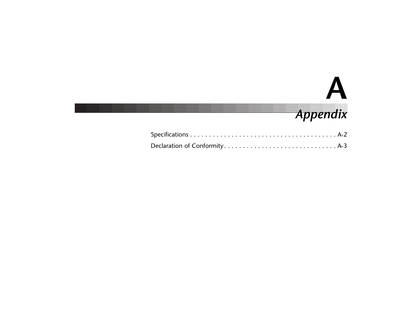# **A**

## *Appendix*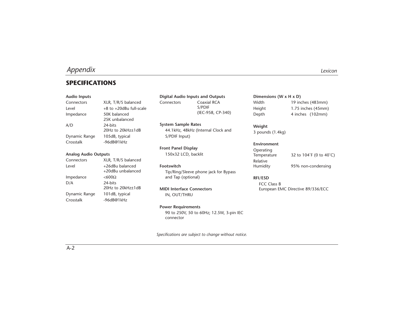### **SPECIFICATIONS**

### **Audio Inputs**

Connectors XLR, T/R/S balanced Level  $+8$  to  $+20$ dBu full-scale Impedance 50K balanced 25K unbalanced A/D 24-bits 20Hz to 20kHz±1dB Dynamic Range 105dB, typical Crosstalk -96dB@1kHz

### **Analog Audio Outputs**

| Connectors    | XLR, T/R/S balanced |
|---------------|---------------------|
| Level         | +26dBu balanced     |
|               | +20dBu unbalanced   |
| Impedance     | $< 600\Omega$       |
| D/A           | 24-bits             |
|               | 20Hz to 20kHz±1dB   |
| Dynamic Range | 101dB, typical      |
| Crosstalk     | $-96dB@1kHz$        |
|               |                     |

**Digital Audio Inputs and Outputs** Connectors Coaxial RCA S/PDIF (IEC-958, CP-340)

**System Sample Rates** 44.1kHz, 48kHz (Internal Clock and S/PDIF Input)

**Front Panel Display** 150x32 LCD, backlit

**Footswitch** Tip/Ring/Sleeve phone jack for Bypass and Tap (optional)

**MIDI Interface Connectors** IN, OUT/THRU

### **Power Requirements**

90 to 250V, 50 to 60Hz; 12.5W, 3-pin IEC connector

*Specifications are subject to change without notice.*

**Dimensions (W x H x D)** Width 19 inches (483mm) Height 1.75 inches (45mm) Depth 4 inches (102mm)

**Weight** 3 pounds (1.4kg)

**Environment** Operating Temperature 32 to 104°F (0 to 40°C) Relative Humidity 95% non-condensing

**RFI/ESD** FCC Class B European EMC Directive 89/336/ECC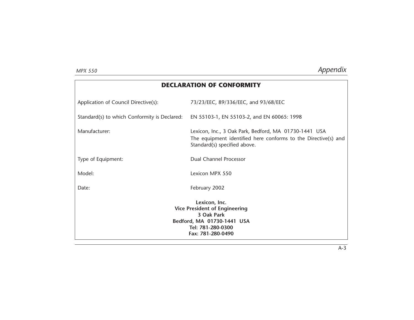| <b>DECLARATION OF CONFORMITY</b>                                                                                                            |                                                                                                                                                         |
|---------------------------------------------------------------------------------------------------------------------------------------------|---------------------------------------------------------------------------------------------------------------------------------------------------------|
| Application of Council Directive(s):                                                                                                        | 73/23/EEC, 89/336/EEC, and 93/68/EEC                                                                                                                    |
| Standard(s) to which Conformity is Declared:                                                                                                | EN 55103-1, EN 55103-2, and EN 60065: 1998                                                                                                              |
| Manufacturer:                                                                                                                               | Lexicon, Inc., 3 Oak Park, Bedford, MA 01730-1441 USA<br>The equipment identified here conforms to the Directive(s) and<br>Standard(s) specified above. |
| Type of Equipment:                                                                                                                          | Dual Channel Processor                                                                                                                                  |
| Model:                                                                                                                                      | Lexicon MPX 550                                                                                                                                         |
| Date:                                                                                                                                       | February 2002                                                                                                                                           |
| Lexicon, Inc.<br><b>Vice President of Engineering</b><br>3 Oak Park<br>Bedford, MA 01730-1441 USA<br>Tel: 781-280-0300<br>Fax: 781-280-0490 |                                                                                                                                                         |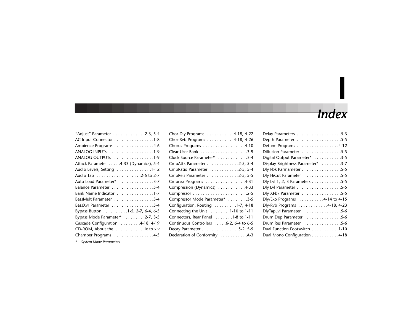# *Index*

**I**

| "Adjust" Parameter 2-3, 5-4           |
|---------------------------------------|
| AC Input Connector 1-8                |
| Ambience Programs 4-6                 |
| ANALOG INPUTs 1-9                     |
| ANALOG OUTPUTS 1-9                    |
| Attack Parameter 4-33 (Dynamics), 5-4 |
| Audio Levels, Setting 1-12            |
|                                       |
| Auto Load Parameter* 3-7              |
| Balance Parameter 5-4                 |
| Bank Name Indicator 1-7               |
| BassMult Parameter 5-4                |
| BassXvr Parameter 5-4                 |
| Bypass Button 1-5, 2-7, 6-4, 6-5      |
| Bypass Mode Parameter* 2-7, 3-5       |
| Cascade Configuration 4-18, 4-19      |
| CD-ROM, About the ix to xiv           |
| Chamber Programs 4-5                  |

| Depth Parameter 5-5               |
|-----------------------------------|
| Detune Programs 4-12              |
| Diffusion Parameter 5-5           |
| Digital Output Parameter* 3-5     |
| Display Brightness Parameter* 3-7 |
| Dly Fbk Parmameter 5-5            |
| Dly HiCut Parameter 5-5           |
| Dly Lvl 1, 2, 3 Parameters 5-5    |
| Dly Lvl Parameter 5-5             |
| Dly XFbk Parameter 5-5            |
| Dly/Eko Programs 4-14 to 4-15     |
| Dly-Rvb Programs 4-18, 4-23       |
| DlyTapLvl Parameter 5-6           |
| Drum Dep Parameter 5-6            |
| Drum Res Parameter 5-6            |
| Dual Function Footswitch 1-10     |
| Dual Mono Configuration 4-18      |
|                                   |

*\* System Mode Parameters*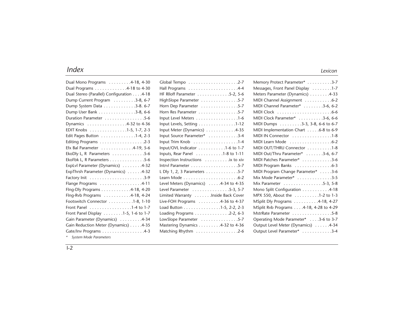### *Index Lexicon*

| Dual Mono Programs 4-18, 4-30                     |
|---------------------------------------------------|
| Dual Programs 4-18 to 4-30                        |
| Dual Stereo (Parallel) Configuration 4-18         |
| Dump Current Program 3-8, 6-7                     |
| Dump System Data 3-8. 6-7                         |
| Dump User Bank 3-8, 6-6                           |
| Duration Parameter 5-6                            |
| Dynamics 4-32 to 4-36                             |
| EDIT Knobs 1-5, 1-7, 2-3                          |
| Edit Pages Button 1-4, 2-3                        |
| Editing Programs 2-3                              |
| Efx Bal Parameter 4-19, 5-6                       |
| EkoDly L, R Parameters $\dots\dots\dots\dots 5-6$ |
| EkoFbk L, R Parameters 5-6                        |
| ExpLvl Parameter (Dynamics) 4-32                  |
| ExpThrsh Parameter (Dynamics) 4-32                |
|                                                   |
| Flange Programs 4-11                              |
| Flng-Dly Programs 4-18, 4-20                      |
| Flng-Rvb Programs 4-18, 4-24                      |
| Footswitch Connector 1-8, 1-10                    |
| Front Panel 1-4 to 1-7                            |
| Front Panel Display 1-5, 1-6 to 1-7               |
| Gain Parameter (Dynamics) 4-34                    |
| Gain Reduction Meter (Dynamics) 4-35              |
| Gate/Inv Programs 4-3                             |

| HF RIIoff Parameter 5-2, 5-6         |
|--------------------------------------|
| HighSlope Parameter 5-7              |
| Horn Dep Parameter 5-7               |
| Horn Res Parameter 5-7               |
| Input Level Meters 1-6               |
| Input Levels, Setting 1-12           |
| Input Meter (Dynamics) 4-35          |
| Input Source Parameter* 3-4          |
| Input Trim Knob 1-4                  |
| Input/OVL Indicator 1-6 to 1-7       |
| Inputs, Rear Panel 1-8 to 1-11       |
| Inspection Instructions  ix to xiv   |
|                                      |
| L Dly 1, 2, 3 Parameters 5-7         |
|                                      |
| Level Meters (Dynamics) 4-34 to 4-35 |
| Level Parameter 5-3, 5-7             |
| Limited Warranty Inside Back Cover   |
| Live-FOH Programs 4-36 to 4-37       |
| Load Button 1-5, 2-2, 2-3            |
| Loading Programs 2-2, 6-3            |
| LowSlope Parameter 5-7               |
| Mastering Dynamics 4-32 to 4-36      |
| Matching Rhythm 2-6                  |

| Memory Protect Parameter* 3-7          |
|----------------------------------------|
| Messages, Front Panel Display 1-7      |
| Meters Parameter (Dynamics) 4-33       |
| MIDI Channel Assignment 6-2            |
| MIDI Channel Parameter* 3-6, 6-2       |
|                                        |
| MIDI Clock Parameter* 3-6, 6-6         |
| MIDI Dumps 3-3, 3-8, 6-6 to 6-7        |
| MIDI Implementation Chart 6-8 to 6-9   |
| MIDI IN Connector 1-8                  |
| MIDI Learn Mode 6-2                    |
| MIDI OUT/THRU Connector 1-8            |
| MIDI Out/Thru Parameter* 3-6, 6-7      |
| MIDI Patches Parameter* 3-6            |
| MIDI Program Banks 6-3                 |
| MIDI Program Change Parameter* 3-6     |
| Mix Mode Parameter* 3-5                |
| Mix Parameter 5-3, 5-8                 |
| Mono Split Configuration 4-18          |
| MPX 550, About the 1-2 to 1-3          |
| MSplit Dly Programs 4-18, 4-27         |
| MSplit Rvb Programs 4-18, 4-28 to 4-29 |
| MstrRate Parameter 5-8                 |
| Operating Mode Parameter* 3-6 to 3-7   |
| Output Level Meter (Dynamics) 4-34     |
| Output Level Parameter* 3-4            |

 $\overline{1-2}$ 

*\* System Mode Parameters*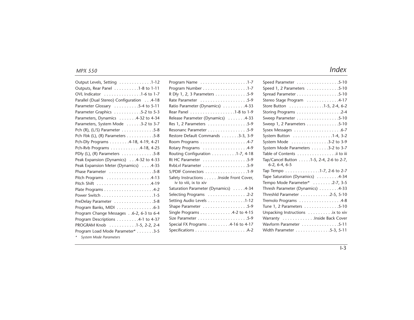| Output Levels, Setting 1-12                                |
|------------------------------------------------------------|
| Outputs, Rear Panel 1-8 to 1-11                            |
| OVL Indicator 1-6 to 1-7                                   |
| Parallel (Dual Stereo) Configuration 4-18                  |
| Parameter Glossary 5-4 to 5-11                             |
| Parameter Graphics 5-2 to 5-3                              |
| Parameters, Dynamics 4-32 to 4-34                          |
| Parameters, System Mode 3-2 to 3-7                         |
| Pch (R), (L/S) Parameter $\ldots \ldots \ldots \ldots 5-8$ |
| Pch Fbk (L), (R) Parameters 5-8                            |
| Pch-Dly Programs 4-18, 4-19, 4-21                          |
| Pch-Rvb Programs 4-18, 4-25                                |
| PDly (L), (R) Parameters 5-8                               |
| Peak Expansion (Dynamics)4-32 to 4-33                      |
| Peak Expansion Meter (Dynamics) 4-35                       |
| Phase Parameter 5-8                                        |
| Pitch Programs 4-13                                        |
|                                                            |
|                                                            |
|                                                            |
| PreDelay Parameter 5-8                                     |
| Program Banks, MIDI 6-3                                    |
| Program Change Messages6-2, 6-3 to 6-4                     |
| Program Descriptions 4-1 to 4-37                           |
| PROGRAM Knob 1-5, 2-2, 2-4                                 |
| Program Load Mode Parameter* 3-5                           |
|                                                            |

| Program Name 1-7                                                 |
|------------------------------------------------------------------|
| Program Number 1-7                                               |
| R Dly 1, 2, 3 Parameters 5-9                                     |
| Rate Parameter 5-9                                               |
| Ratio Parameter (Dynamics) 4-33                                  |
| Rear Panel 1-8 to 1-9                                            |
| Release Parameter (Dynamics) 4-33                                |
| Res 1, 2 Parameters $\dots \dots \dots \dots \dots \dots$        |
| Resonanc Parameter 5-9                                           |
| Restore Default Commands 3-3, 3-9                                |
|                                                                  |
| Rotary Programs 4-9                                              |
| Routing Configuration 1-7, 4-18                                  |
| Rt HC Parameter 5-9                                              |
| RvbLvl Parameter 5-9                                             |
| S/PDIF Connectors 1-9                                            |
| Safety Instructions Inside Front Cover,<br>iv to viii, ix to xiv |
| Saturation Parameter (Dynamics) 4-34                             |
|                                                                  |
| Setting Audio Levels 1-12                                        |
| Shape Parameter 5-9                                              |
| Single Programs 4-2 to 4-15                                      |
|                                                                  |
| Special FX Programs 4-16 to 4-17                                 |
|                                                                  |
|                                                                  |

| Speed Parameter 5-10                                       |
|------------------------------------------------------------|
| Speed 1, 2 Parameters 5-10                                 |
| Spread Parameter 5-10                                      |
| Stereo Stage Program 4-17                                  |
| Store Button 1-5, 2-4, 6-2                                 |
| Storing Programs 2-4                                       |
| Sweep Parameter 5-10                                       |
| Sweep 1, 2 Parameters 5-10                                 |
|                                                            |
| System Button 1-4, 3-2                                     |
| System Mode 3-2 to 3-9                                     |
| System Mode Parameters 3-2 to 3-7                          |
| Table of Contents  ii to iii                               |
| Tap/Cancel Button 1-5, 2-4, 2-6 to 2-7,<br>$6-2, 6-4, 6-5$ |
| Tap Tempo 1-7, 2-6 to 2-7                                  |
| Tape Saturation (Dynamics) 4-34                            |
| Tempo Mode Parameter* 2-7, 3-5                             |
| Thresh Parameter (Dynamics) 4-33                           |
| Threshld Parameter 2-5, 5-10                               |
| Tremolo Programs 4-8                                       |
| Tune 1, 2 Parameters 5-10                                  |
| Unpacking Instructions  ix to xiv                          |
| Warranty Inside Back Cover                                 |
| Wavform Parameter 5-11                                     |
| Width Parameter 5-3, 5-11                                  |

*\* System Mode Parameters*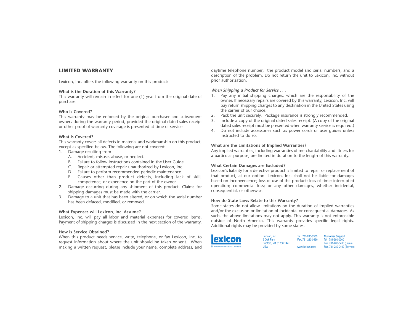### **LIMITED WARRANTY**

Lexicon, Inc. offers the following warranty on this product:

### **What is the Duration of this Warranty?**

This warranty will remain in effect for one (1) year from the original date of purchase.

### **Who is Covered?**

This warranty may be enforced by the original purchaser and subsequent owners during the warranty period, provided the original dated sales receipt or other proof of warranty coverage is presented at time of service.

### **What is Covered?**

This warranty covers all defects in material and workmanship on this product, except as specified below. The following are not covered:

- 1. Damage resulting from
	- A. Accident, misuse, abuse, or neglect.
	- B. Failure to follow instructions contained in the User Guide.
	- C. Repair or attempted repair unauthorized by Lexicon, Inc.
	- D. Failure to perform recommended periodic maintenance.
	- E. Causes other than product defects, including lack of skill, competence, or experience on the part of the owner.
- 2. Damage occurring during any shipment of this product. Claims for shipping damages must be made with the carrier.
- 3. Damage to a unit that has been altered, or on which the serial number has been defaced, modified, or removed.

### **What Expenses will Lexicon, Inc. Assume?**

Lexicon, Inc. will pay all labor and material expenses for covered items. Payment of shipping charges is discussed in the next section of the warranty.

### **How is Service Obtained?**

When this product needs service, write, telephone, or fax Lexicon, Inc. to request information about where the unit should be taken or sent. When making a written request, please include your name, complete address, and daytime telephone number; the product model and serial numbers; and a description of the problem. Do not return the unit to Lexicon, Inc. without prior authorization.

### *When Shipping a Product for Service . . .*

- 1. Pay any initial shipping charges, which are the responsibility of the owner. If necessary repairs are covered by this warranty, Lexicon, Inc. will pay return shipping charges to any destination in the United States using the carrier of our choice.
- Pack the unit securely. Package insurance is strongly recommended.
- 3. Include a copy of the original dated sales receipt. (A copy of the original dated sales receipt must be presented when warranty service is required.)
- 4. Do not include accessories such as power cords or user guides unless instructed to do so.

### **What are the Limitations of Implied Warranties?**

Any implied warranties, including warranties of merchantability and fitness for a particular purpose, are limited in duration to the length of this warranty.

### **What Certain Damages are Excluded?**

Lexicon's liability for a defective product is limited to repair or replacement of that product, at our option. Lexicon, Inc. shall not be liable for damages based on inconvenience; loss of use of the product; loss of time; interrupted operation; commercial loss; or any other damages, whether incidental, consequential, or otherwise.

### **How do State Laws Relate to this Warranty?**

Some states do not allow limitations on the duration of implied warranties and/or the exclusion or limitation of incidental or consequential damages. As such, the above limitations may not apply. This warranty is not enforceable outside of North America. This warranty provides specific legal rights. Additional rights may be provided by some states.



Lexicon, Inc 3 Oak Park Bedford, MA 01730-1441 USA Tel 781-280-0300 Fax..781-280-0490 www.lexicon.com

**Customer Support** Tel 781-280-0300 Fax..781-280-0495 (Sales) Fax..781-280-0499 (Service)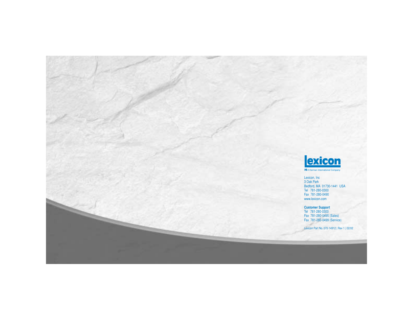

**H** A Harman International Company

Lexicon, Inc 3 Oak Park Bedford, MA 01730-1441 USA Tel 781-280-0300 Fax 781-280-0490 www.lexicon.com

**Customer Support** Tel 781-280-0300 Fax 781-280-0495 (Sales) Fax 781-280-0499 (Service)

Lexicon Part No. 070-14912 | Rev 1 | 02/02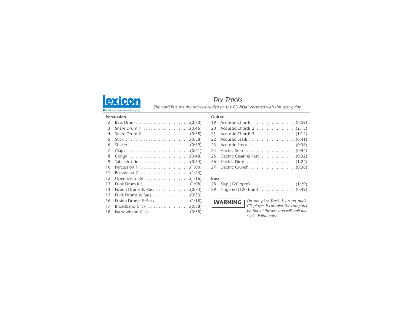

# *Dry Tracks*

**This card lists the dry tracks included on the CD-ROM enclosed with this user guide.** A Harman International Company

**Guitar**

#### **Percussion**

| $\mathcal{P}$  |                                                                   |
|----------------|-------------------------------------------------------------------|
| 3              |                                                                   |
| $\overline{4}$ | Snare Drum $2 \ldots \ldots \ldots \ldots \ldots \ldots (0.38)$   |
| 5              |                                                                   |
| 6              | Shaker $\ldots \ldots \ldots \ldots \ldots \ldots \ldots (0.39)$  |
| 7              |                                                                   |
| 8              |                                                                   |
| 9              | Table & Udo $\dots\dots\dots\dots\dots\dots\dots$                 |
| 10             | Percussion 1 $\ldots \ldots \ldots \ldots \ldots \ldots$ . (1:00) |
| 11             | Percussion 2 $\ldots \ldots \ldots \ldots \ldots \ldots$ . (1:23) |
| 12             |                                                                   |
| 13             |                                                                   |
| 14             |                                                                   |
| 15             | Funk Drums & Bass $\dots\dots\dots\dots\dots\dots$                |
| 16             |                                                                   |
| 17             | Broadband Click $\ldots \ldots \ldots \ldots \ldots$ . (0:38)     |
| 18             | Narrowband Click $\ldots \ldots \ldots \ldots \ldots$ . (0:38)    |
|                |                                                                   |

|  | 21 Acoustic Chords 3 (1:12) |
|--|-----------------------------|
|  |                             |
|  |                             |
|  |                             |
|  |                             |
|  |                             |
|  |                             |
|  |                             |

### **Bass**



*Do not play Track 1 on an audio CD player. It contains the computer portion of the disc and will emit fullscale digital noise.*